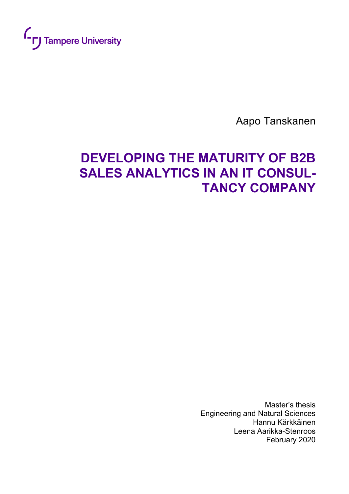

Aapo Tanskanen

# **DEVELOPING THE MATURITY OF B2B SALES ANALYTICS IN AN IT CONSUL-TANCY COMPANY**

Master's thesis Engineering and Natural Sciences Hannu Kärkkäinen Leena Aarikka-Stenroos February 2020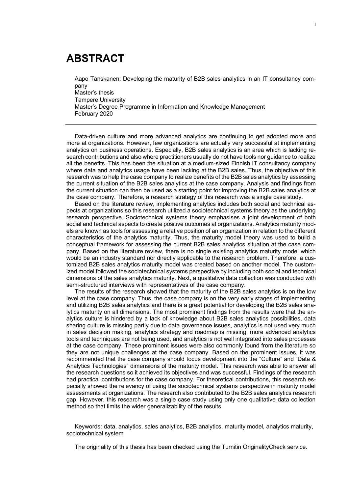## **ABSTRACT**

Aapo Tanskanen: Developing the maturity of B2B sales analytics in an IT consultancy company

Master's thesis Tampere University Master's Degree Programme in Information and Knowledge Management February 2020

Data-driven culture and more advanced analytics are continuing to get adopted more and more at organizations. However, few organizations are actually very successful at implementing analytics on business operations. Especially, B2B sales analytics is an area which is lacking research contributions and also where practitioners usually do not have tools nor guidance to realize all the benefits. This has been the situation at a medium-sized Finnish IT consultancy company where data and analytics usage have been lacking at the B2B sales. Thus, the objective of this research was to help the case company to realize benefits of the B2B sales analytics by assessing the current situation of the B2B sales analytics at the case company. Analysis and findings from the current situation can then be used as a starting point for improving the B2B sales analytics at the case company. Therefore, a research strategy of this research was a single case study.

Based on the literature review, implementing analytics includes both social and technical aspects at organizations so this research utilized a sociotechnical systems theory as the underlying research perspective. Sociotechnical systems theory emphasises a joint development of both social and technical aspects to create positive outcomes at organizations. Analytics maturity models are known as tools for assessing a relative position of an organization in relation to the different characteristics of the analytics maturity. Thus, the maturity model theory was used to build a conceptual framework for assessing the current B2B sales analytics situation at the case company. Based on the literature review, there is no single existing analytics maturity model which would be an industry standard nor directly applicable to the research problem. Therefore, a customized B2B sales analytics maturity model was created based on another model. The customized model followed the sociotechnical systems perspective by including both social and technical dimensions of the sales analytics maturity. Next, a qualitative data collection was conducted with semi-structured interviews with representatives of the case company.

The results of the research showed that the maturity of the B2B sales analytics is on the low level at the case company. Thus, the case company is on the very early stages of implementing and utilizing B2B sales analytics and there is a great potential for developing the B2B sales analytics maturity on all dimensions. The most prominent findings from the results were that the analytics culture is hindered by a lack of knowledge about B2B sales analytics possibilities, data sharing culture is missing partly due to data governance issues, analytics is not used very much in sales decision making, analytics strategy and roadmap is missing, more advanced analytics tools and techniques are not being used, and analytics is not well integrated into sales processes at the case company. These prominent issues were also commonly found from the literature so they are not unique challenges at the case company. Based on the prominent issues, it was recommended that the case company should focus development into the "Culture" and "Data & Analytics Technologies" dimensions of the maturity model. This research was able to answer all the research questions so it achieved its objectives and was successful. Findings of the research had practical contributions for the case company. For theoretical contributions, this research especially showed the relevancy of using the sociotechnical systems perspective in maturity model assessments at organizations. The research also contributed to the B2B sales analytics research gap. However, this research was a single case study using only one qualitative data collection method so that limits the wider generalizability of the results.

Keywords: data, analytics, sales analytics, B2B analytics, maturity model, analytics maturity, sociotechnical system

The originality of this thesis has been checked using the Turnitin OriginalityCheck service.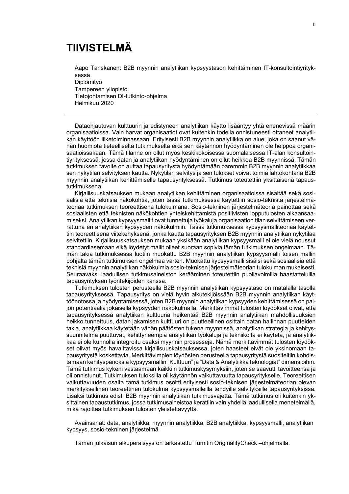## **TIIVISTELMÄ**

Aapo Tanskanen: B2B myynnin analytiikan kypsyystason kehittäminen IT-konsultointiyrityksessä Diplomityö

Tampereen yliopisto Tietojohtamisen DI-tutkinto-ohjelma Helmikuu 2020

Dataohjautuvan kulttuurin ja edistyneen analytiikan käyttö lisääntyy yhtä enenevissä määrin organisaatioissa. Vain harvat organisaatiot ovat kuitenkin todella onnistuneesti ottaneet analytiikan käyttöön liiketoiminnassaan. Erityisesti B2B myynnin analytiikka on alue, joka on saanut vähän huomiota tieteelliseltä tutkimukselta eikä sen käytännön hyödyntäminen ole helppoa organisaatioissakaan. Tämä tilanne on ollut myös keskikokoisessa suomalaisessa IT-alan konsultointiyrityksessä, jossa datan ja analytiikan hyödyntäminen on ollut heikkoa B2B myynnissä. Tämän tutkimuksen tavoite on auttaa tapausyritystä hyödyntämään paremmin B2B myynnin analytiikkaa sen nykytilan selvityksen kautta. Nykytilan selvitys ja sen tulokset voivat toimia lähtökohtana B2B myynnin analytiikan kehittämiselle tapausyrityksessä. Tutkimus toteutettiin yksittäisenä tapaustutkimuksena.

Kirjallisuuskatsauksen mukaan analytiikan kehittäminen organisaatioissa sisältää sekä sosiaalisia että teknisiä näkökohtia, joten tässä tutkimuksessa käytettiin sosio-teknistä järjestelmäteoriaa tutkimuksen teoreettisena tulokulmana. Sosio-tekninen järjestelmäteoria painottaa sekä sosiaalisten että teknisten näkökohtien yhteiskehittämistä positiivisten lopputulosten aikaansaamiseksi. Analytiikan kypsyysmallit ovat tunnettuja työkaluja organisaation tilan selvittämiseen verrattuna eri analytiikan kypsyyden näkökulmiin. Tässä tutkimuksessa kypsyysmalliteoriaa käytettiin teoreettisena viitekehyksenä, jonka kautta tapausyrityksen B2B myynnin analytiikan nykytilaa selvitettiin. Kirjallisuuskatsauksen mukaan yksikään analytiikan kypsyysmalli ei ole vielä noussut standardiasemaan eikä löydetyt mallit olleet suoraan sopivia tämän tutkimuksen ongelmaan. Tämän takia tutkimuksessa luotiin muokattu B2B myynnin analytiikan kypsyysmalli toisen mallin pohjalta tämän tutkimuksen ongelmaa varten. Muokattu kypsyysmalli sisälsi sekä sosiaalisia että teknisiä myynnin analytiikan näkökulmia sosio-teknisen järjestelmäteorian tulokulman mukaisesti. Seuraavaksi laadullisen tutkimusaineiston kerääminen toteutettiin puoliavoimilla haastatteluilla tapausyrityksen työntekijöiden kanssa.

Tutkimuksen tulosten perusteella B2B myynnin analytiikan kypsyystaso on matalalla tasolla tapausyrityksessä. Tapausyritys on vielä hyvin alkutekijöissään B2B myynnin analytiikan käyttöönotossa ja hyödyntämisessä, joten B2B myynnin analytiikan kypsyyden kehittämisessä on paljon potentiaalia jokaisella kypsyyden näkökulmalla. Merkittävimmät tulosten löydökset olivat, että tapausyrityksessä analytiikan kulttuuria heikentää B2B myynnin analytiikan mahdollisuuksien heikko tunnettuus, datan jakamisen kulttuuri on puutteellinen osittain datan hallinnan puutteiden takia, analytiikkaa käytetään vähän päätösten tukena myynnissä, analytiikan strategia ja kehityssuunnitelma puuttuvat, kehittyneempiä analytiikan työkaluja ja tekniikoita ei käytetä, ja analytiikkaa ei ole kunnolla integroitu osaksi myynnin prosesseja. Nämä merkittävimmät tulosten löydökset olivat myös havaittavissa kirjallisuuskatsauksessa, joten haasteet eivät ole yksinomaan tapausyritystä koskettavia. Merkittävimpien löydösten perusteella tapausyritystä suositeltiin kohdistamaan kehityspanoksia kypsyysmallin "Kulttuuri" ja "Data & Analytiikka teknologiat" dimensioihin. Tämä tutkimus kykeni vastaamaan kaikkiin tutkimuskysymyksiin, joten se saavutti tavoitteensa ja oli onnistunut. Tutkimuksen tuloksilla oli käytännön vaikuttavuutta tapausyritykselle. Teoreettisen vaikuttavuuden osalta tämä tutkimus osoitti erityisesti sosio-teknisen järjestelmäteorian olevan merkityksellinen teoreettinen tulokulma kypsyysmalleilla tehdyille selvityksille tapausyrityksissä. Lisäksi tutkimus edisti B2B myynnin analytiikan tutkimusvajetta. Tämä tutkimus oli kuitenkin yksittäinen tapaustutkimus, jossa tutkimusaineistoa kerättiin vain yhdellä laadullisella menetelmällä, mikä rajoittaa tutkimuksen tulosten yleistettävyyttä.

Avainsanat: data, analytiikka, myynnin analytiikka, B2B analytiikka, kypsyysmalli, analytiikan kypsyys, sosio-tekninen järjestelmä

Tämän julkaisun alkuperäisyys on tarkastettu Turnitin OriginalityCheck –ohjelmalla.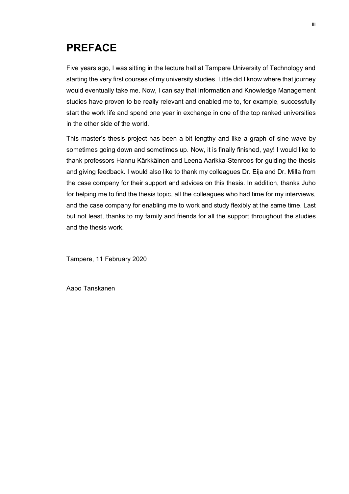## **PREFACE**

Five years ago, I was sitting in the lecture hall at Tampere University of Technology and starting the very first courses of my university studies. Little did I know where that journey would eventually take me. Now, I can say that Information and Knowledge Management studies have proven to be really relevant and enabled me to, for example, successfully start the work life and spend one year in exchange in one of the top ranked universities in the other side of the world.

This master's thesis project has been a bit lengthy and like a graph of sine wave by sometimes going down and sometimes up. Now, it is finally finished, yay! I would like to thank professors Hannu Kärkkäinen and Leena Aarikka-Stenroos for guiding the thesis and giving feedback. I would also like to thank my colleagues Dr. Eija and Dr. Milla from the case company for their support and advices on this thesis. In addition, thanks Juho for helping me to find the thesis topic, all the colleagues who had time for my interviews, and the case company for enabling me to work and study flexibly at the same time. Last but not least, thanks to my family and friends for all the support throughout the studies and the thesis work.

Tampere, 11 February 2020

Aapo Tanskanen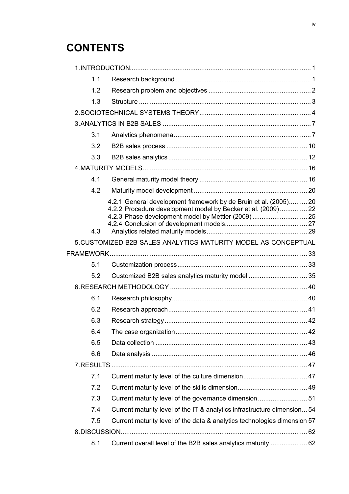## **CONTENTS**

| 1.1 |                                                                                                                                                                                        |  |
|-----|----------------------------------------------------------------------------------------------------------------------------------------------------------------------------------------|--|
| 1.2 |                                                                                                                                                                                        |  |
| 1.3 |                                                                                                                                                                                        |  |
|     |                                                                                                                                                                                        |  |
|     |                                                                                                                                                                                        |  |
| 3.1 |                                                                                                                                                                                        |  |
| 3.2 |                                                                                                                                                                                        |  |
| 3.3 |                                                                                                                                                                                        |  |
|     |                                                                                                                                                                                        |  |
| 4.1 |                                                                                                                                                                                        |  |
| 4.2 |                                                                                                                                                                                        |  |
|     | 4.2.1 General development framework by de Bruin et al. (2005) 20<br>4.2.2 Procedure development model by Becker et al. (2009) 22<br>4.2.3 Phase development model by Mettler (2009) 25 |  |
| 4.3 |                                                                                                                                                                                        |  |
|     | 5. CUSTOMIZED B2B SALES ANALYTICS MATURITY MODEL AS CONCEPTUAL                                                                                                                         |  |
|     |                                                                                                                                                                                        |  |
| 5.1 |                                                                                                                                                                                        |  |
| 5.2 | Customized B2B sales analytics maturity model  35                                                                                                                                      |  |
|     |                                                                                                                                                                                        |  |
| 6.1 |                                                                                                                                                                                        |  |
| 6.2 |                                                                                                                                                                                        |  |
| 6.3 |                                                                                                                                                                                        |  |
| 6.4 |                                                                                                                                                                                        |  |
| 6.5 |                                                                                                                                                                                        |  |
| 6.6 |                                                                                                                                                                                        |  |
|     |                                                                                                                                                                                        |  |
| 7.1 |                                                                                                                                                                                        |  |
| 7.2 |                                                                                                                                                                                        |  |
| 7.3 | Current maturity level of the governance dimension 51                                                                                                                                  |  |
| 7.4 | Current maturity level of the IT & analytics infrastructure dimension 54                                                                                                               |  |
| 7.5 | Current maturity level of the data & analytics technologies dimension 57                                                                                                               |  |
|     |                                                                                                                                                                                        |  |
| 8.1 | Current overall level of the B2B sales analytics maturity  62                                                                                                                          |  |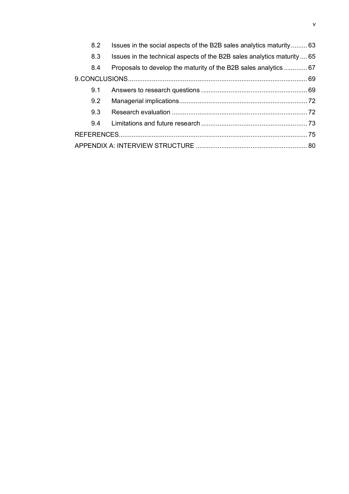| 8.2 | Issues in the social aspects of the B2B sales analytics maturity 63     |  |
|-----|-------------------------------------------------------------------------|--|
| 8.3 | Issues in the technical aspects of the B2B sales analytics maturity  65 |  |
| 8.4 | Proposals to develop the maturity of the B2B sales analytics 67         |  |
|     |                                                                         |  |
| 9.1 |                                                                         |  |
|     |                                                                         |  |
|     |                                                                         |  |
| 9.4 |                                                                         |  |
|     |                                                                         |  |
|     |                                                                         |  |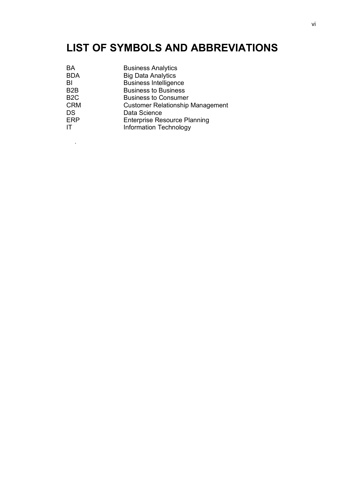## **LIST OF SYMBOLS AND ABBREVIATIONS**

| BA               | <b>Business Analytics</b>               |
|------------------|-----------------------------------------|
| <b>BDA</b>       | <b>Big Data Analytics</b>               |
| BI               | <b>Business Intelligence</b>            |
| B <sub>2</sub> B | <b>Business to Business</b>             |
| B <sub>2</sub> C | <b>Business to Consumer</b>             |
| <b>CRM</b>       | <b>Customer Relationship Management</b> |
| <b>DS</b>        | Data Science                            |
| <b>ERP</b>       | <b>Enterprise Resource Planning</b>     |
| IT               | <b>Information Technology</b>           |
|                  |                                         |

.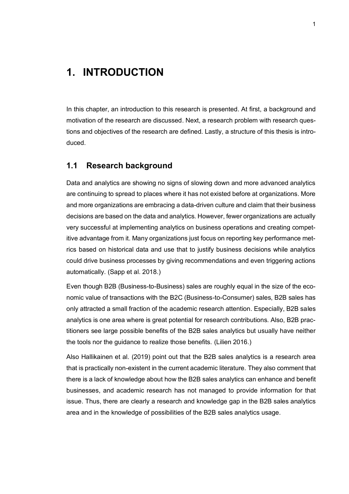### <span id="page-7-0"></span>**1. INTRODUCTION**

In this chapter, an introduction to this research is presented. At first, a background and motivation of the research are discussed. Next, a research problem with research questions and objectives of the research are defined. Lastly, a structure of this thesis is introduced.

#### <span id="page-7-1"></span>**1.1 Research background**

Data and analytics are showing no signs of slowing down and more advanced analytics are continuing to spread to places where it has not existed before at organizations. More and more organizations are embracing a data-driven culture and claim that their business decisions are based on the data and analytics. However, fewer organizations are actually very successful at implementing analytics on business operations and creating competitive advantage from it. Many organizations just focus on reporting key performance metrics based on historical data and use that to justify business decisions while analytics could drive business processes by giving recommendations and even triggering actions automatically. (Sapp et al. 2018.)

Even though B2B (Business-to-Business) sales are roughly equal in the size of the economic value of transactions with the B2C (Business-to-Consumer) sales, B2B sales has only attracted a small fraction of the academic research attention. Especially, B2B sales analytics is one area where is great potential for research contributions. Also, B2B practitioners see large possible benefits of the B2B sales analytics but usually have neither the tools nor the guidance to realize those benefits. (Lilien 2016.)

Also Hallikainen et al. (2019) point out that the B2B sales analytics is a research area that is practically non-existent in the current academic literature. They also comment that there is a lack of knowledge about how the B2B sales analytics can enhance and benefit businesses, and academic research has not managed to provide information for that issue. Thus, there are clearly a research and knowledge gap in the B2B sales analytics area and in the knowledge of possibilities of the B2B sales analytics usage.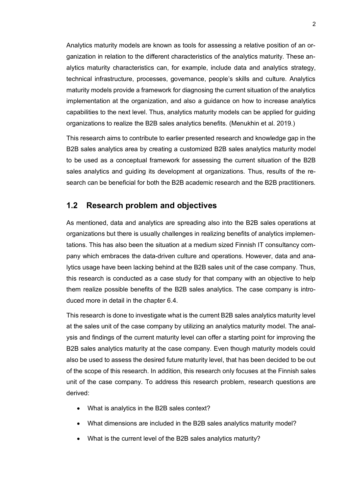Analytics maturity models are known as tools for assessing a relative position of an organization in relation to the different characteristics of the analytics maturity. These analytics maturity characteristics can, for example, include data and analytics strategy, technical infrastructure, processes, governance, people's skills and culture. Analytics maturity models provide a framework for diagnosing the current situation of the analytics implementation at the organization, and also a guidance on how to increase analytics capabilities to the next level. Thus, analytics maturity models can be applied for guiding organizations to realize the B2B sales analytics benefits. (Menukhin et al. 2019.)

This research aims to contribute to earlier presented research and knowledge gap in the B2B sales analytics area by creating a customized B2B sales analytics maturity model to be used as a conceptual framework for assessing the current situation of the B2B sales analytics and guiding its development at organizations. Thus, results of the research can be beneficial for both the B2B academic research and the B2B practitioners.

#### <span id="page-8-0"></span>**1.2 Research problem and objectives**

As mentioned, data and analytics are spreading also into the B2B sales operations at organizations but there is usually challenges in realizing benefits of analytics implementations. This has also been the situation at a medium sized Finnish IT consultancy company which embraces the data-driven culture and operations. However, data and analytics usage have been lacking behind at the B2B sales unit of the case company. Thus, this research is conducted as a case study for that company with an objective to help them realize possible benefits of the B2B sales analytics. The case company is introduced more in detail in the chapter 6.4.

This research is done to investigate what is the current B2B sales analytics maturity level at the sales unit of the case company by utilizing an analytics maturity model. The analysis and findings of the current maturity level can offer a starting point for improving the B2B sales analytics maturity at the case company. Even though maturity models could also be used to assess the desired future maturity level, that has been decided to be out of the scope of this research. In addition, this research only focuses at the Finnish sales unit of the case company. To address this research problem, research questions are derived:

- What is analytics in the B2B sales context?
- What dimensions are included in the B2B sales analytics maturity model?
- What is the current level of the B2B sales analytics maturity?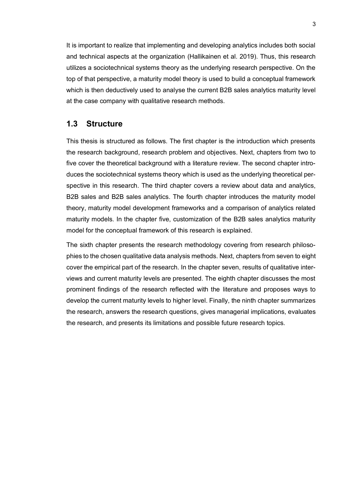It is important to realize that implementing and developing analytics includes both social and technical aspects at the organization (Hallikainen et al. 2019). Thus, this research utilizes a sociotechnical systems theory as the underlying research perspective. On the top of that perspective, a maturity model theory is used to build a conceptual framework which is then deductively used to analyse the current B2B sales analytics maturity level at the case company with qualitative research methods.

#### <span id="page-9-0"></span>**1.3 Structure**

This thesis is structured as follows. The first chapter is the introduction which presents the research background, research problem and objectives. Next, chapters from two to five cover the theoretical background with a literature review. The second chapter introduces the sociotechnical systems theory which is used as the underlying theoretical perspective in this research. The third chapter covers a review about data and analytics, B2B sales and B2B sales analytics. The fourth chapter introduces the maturity model theory, maturity model development frameworks and a comparison of analytics related maturity models. In the chapter five, customization of the B2B sales analytics maturity model for the conceptual framework of this research is explained.

The sixth chapter presents the research methodology covering from research philosophies to the chosen qualitative data analysis methods. Next, chapters from seven to eight cover the empirical part of the research. In the chapter seven, results of qualitative interviews and current maturity levels are presented. The eighth chapter discusses the most prominent findings of the research reflected with the literature and proposes ways to develop the current maturity levels to higher level. Finally, the ninth chapter summarizes the research, answers the research questions, gives managerial implications, evaluates the research, and presents its limitations and possible future research topics.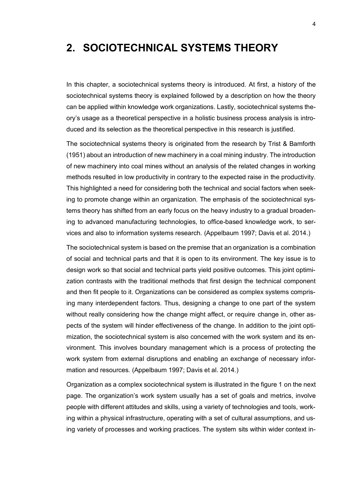### <span id="page-10-0"></span>**2. SOCIOTECHNICAL SYSTEMS THEORY**

In this chapter, a sociotechnical systems theory is introduced. At first, a history of the sociotechnical systems theory is explained followed by a description on how the theory can be applied within knowledge work organizations. Lastly, sociotechnical systems theory's usage as a theoretical perspective in a holistic business process analysis is introduced and its selection as the theoretical perspective in this research is justified.

The sociotechnical systems theory is originated from the research by Trist & Bamforth (1951) about an introduction of new machinery in a coal mining industry. The introduction of new machinery into coal mines without an analysis of the related changes in working methods resulted in low productivity in contrary to the expected raise in the productivity. This highlighted a need for considering both the technical and social factors when seeking to promote change within an organization. The emphasis of the sociotechnical systems theory has shifted from an early focus on the heavy industry to a gradual broadening to advanced manufacturing technologies, to office-based knowledge work, to services and also to information systems research. (Appelbaum 1997; Davis et al. 2014.)

The sociotechnical system is based on the premise that an organization is a combination of social and technical parts and that it is open to its environment. The key issue is to design work so that social and technical parts yield positive outcomes. This joint optimization contrasts with the traditional methods that first design the technical component and then fit people to it. Organizations can be considered as complex systems comprising many interdependent factors. Thus, designing a change to one part of the system without really considering how the change might affect, or require change in, other aspects of the system will hinder effectiveness of the change. In addition to the joint optimization, the sociotechnical system is also concerned with the work system and its environment. This involves boundary management which is a process of protecting the work system from external disruptions and enabling an exchange of necessary information and resources. (Appelbaum 1997; Davis et al. 2014.)

Organization as a complex sociotechnical system is illustrated in the figure 1 on the next page. The organization's work system usually has a set of goals and metrics, involve people with different attitudes and skills, using a variety of technologies and tools, working within a physical infrastructure, operating with a set of cultural assumptions, and using variety of processes and working practices. The system sits within wider context in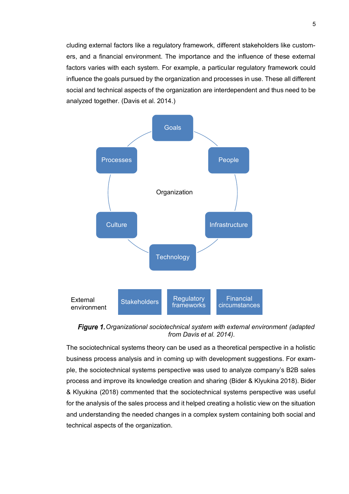cluding external factors like a regulatory framework, different stakeholders like customers, and a financial environment. The importance and the influence of these external factors varies with each system. For example, a particular regulatory framework could influence the goals pursued by the organization and processes in use. These all different social and technical aspects of the organization are interdependent and thus need to be analyzed together. (Davis et al. 2014.)



**Figure 1.** Organizational sociotechnical system with external environment (adapted *from Davis et al. 2014).*

The sociotechnical systems theory can be used as a theoretical perspective in a holistic business process analysis and in coming up with development suggestions. For example, the sociotechnical systems perspective was used to analyze company's B2B sales process and improve its knowledge creation and sharing (Bider & Klyukina 2018). Bider & Klyukina (2018) commented that the sociotechnical systems perspective was useful for the analysis of the sales process and it helped creating a holistic view on the situation and understanding the needed changes in a complex system containing both social and technical aspects of the organization.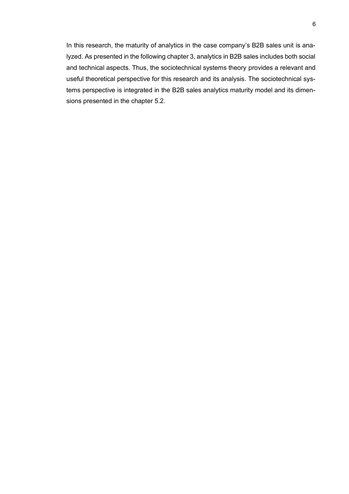In this research, the maturity of analytics in the case company's B2B sales unit is analyzed. As presented in the following chapter 3, analytics in B2B sales includes both social and technical aspects. Thus, the sociotechnical systems theory provides a relevant and useful theoretical perspective for this research and its analysis. The sociotechnical systems perspective is integrated in the B2B sales analytics maturity model and its dimensions presented in the chapter 5.2.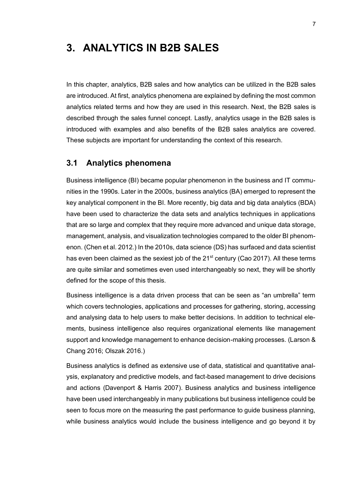### <span id="page-13-0"></span>**3. ANALYTICS IN B2B SALES**

In this chapter, analytics, B2B sales and how analytics can be utilized in the B2B sales are introduced. At first, analytics phenomena are explained by defining the most common analytics related terms and how they are used in this research. Next, the B2B sales is described through the sales funnel concept. Lastly, analytics usage in the B2B sales is introduced with examples and also benefits of the B2B sales analytics are covered. These subjects are important for understanding the context of this research.

#### <span id="page-13-1"></span>**3.1 Analytics phenomena**

Business intelligence (BI) became popular phenomenon in the business and IT communities in the 1990s. Later in the 2000s, business analytics (BA) emerged to represent the key analytical component in the BI. More recently, big data and big data analytics (BDA) have been used to characterize the data sets and analytics techniques in applications that are so large and complex that they require more advanced and unique data storage, management, analysis, and visualization technologies compared to the older BI phenomenon. (Chen et al. 2012.) In the 2010s, data science (DS) has surfaced and data scientist has even been claimed as the sexiest job of the  $21<sup>st</sup>$  century (Cao 2017). All these terms are quite similar and sometimes even used interchangeably so next, they will be shortly defined for the scope of this thesis.

Business intelligence is a data driven process that can be seen as "an umbrella" term which covers technologies, applications and processes for gathering, storing, accessing and analysing data to help users to make better decisions. In addition to technical elements, business intelligence also requires organizational elements like management support and knowledge management to enhance decision-making processes. (Larson & Chang 2016; Olszak 2016.)

Business analytics is defined as extensive use of data, statistical and quantitative analysis, explanatory and predictive models, and fact-based management to drive decisions and actions (Davenport & Harris 2007). Business analytics and business intelligence have been used interchangeably in many publications but business intelligence could be seen to focus more on the measuring the past performance to guide business planning, while business analytics would include the business intelligence and go beyond it by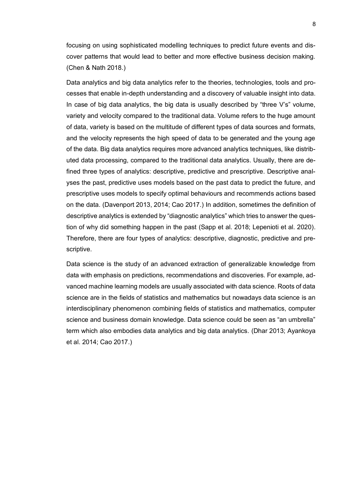focusing on using sophisticated modelling techniques to predict future events and discover patterns that would lead to better and more effective business decision making. (Chen & Nath 2018.)

Data analytics and big data analytics refer to the theories, technologies, tools and processes that enable in-depth understanding and a discovery of valuable insight into data. In case of big data analytics, the big data is usually described by "three V's" volume, variety and velocity compared to the traditional data. Volume refers to the huge amount of data, variety is based on the multitude of different types of data sources and formats, and the velocity represents the high speed of data to be generated and the young age of the data. Big data analytics requires more advanced analytics techniques, like distributed data processing, compared to the traditional data analytics. Usually, there are defined three types of analytics: descriptive, predictive and prescriptive. Descriptive analyses the past, predictive uses models based on the past data to predict the future, and prescriptive uses models to specify optimal behaviours and recommends actions based on the data. (Davenport 2013, 2014; Cao 2017.) In addition, sometimes the definition of descriptive analytics is extended by "diagnostic analytics" which tries to answer the question of why did something happen in the past (Sapp et al. 2018; Lepenioti et al. 2020). Therefore, there are four types of analytics: descriptive, diagnostic, predictive and prescriptive.

Data science is the study of an advanced extraction of generalizable knowledge from data with emphasis on predictions, recommendations and discoveries. For example, advanced machine learning models are usually associated with data science. Roots of data science are in the fields of statistics and mathematics but nowadays data science is an interdisciplinary phenomenon combining fields of statistics and mathematics, computer science and business domain knowledge. Data science could be seen as "an umbrella" term which also embodies data analytics and big data analytics. (Dhar 2013; Ayankoya et al. 2014; Cao 2017.)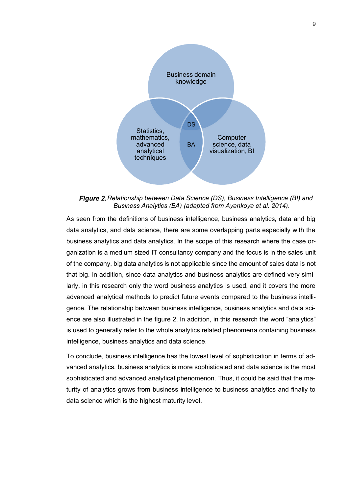

*Figure 2. Relationship between Data Science (DS), Business Intelligence (BI) and Business Analytics (BA) (adapted from Ayankoya et al. 2014).*

As seen from the definitions of business intelligence, business analytics, data and big data analytics, and data science, there are some overlapping parts especially with the business analytics and data analytics. In the scope of this research where the case organization is a medium sized IT consultancy company and the focus is in the sales unit of the company, big data analytics is not applicable since the amount of sales data is not that big. In addition, since data analytics and business analytics are defined very similarly, in this research only the word business analytics is used, and it covers the more advanced analytical methods to predict future events compared to the business intelligence. The relationship between business intelligence, business analytics and data science are also illustrated in the figure 2. In addition, in this research the word "analytics" is used to generally refer to the whole analytics related phenomena containing business intelligence, business analytics and data science.

To conclude, business intelligence has the lowest level of sophistication in terms of advanced analytics, business analytics is more sophisticated and data science is the most sophisticated and advanced analytical phenomenon. Thus, it could be said that the maturity of analytics grows from business intelligence to business analytics and finally to data science which is the highest maturity level.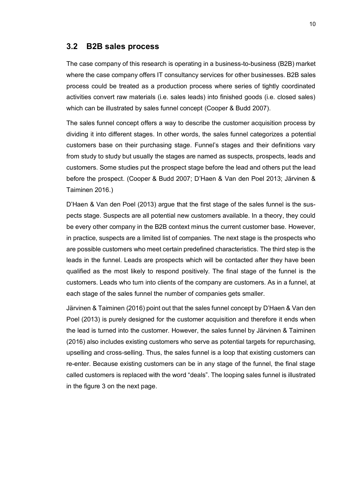#### <span id="page-16-0"></span>**3.2 B2B sales process**

The case company of this research is operating in a business-to-business (B2B) market where the case company offers IT consultancy services for other businesses. B2B sales process could be treated as a production process where series of tightly coordinated activities convert raw materials (i.e. sales leads) into finished goods (i.e. closed sales) which can be illustrated by sales funnel concept (Cooper & Budd 2007).

The sales funnel concept offers a way to describe the customer acquisition process by dividing it into different stages. In other words, the sales funnel categorizes a potential customers base on their purchasing stage. Funnel's stages and their definitions vary from study to study but usually the stages are named as suspects, prospects, leads and customers. Some studies put the prospect stage before the lead and others put the lead before the prospect. (Cooper & Budd 2007; D'Haen & Van den Poel 2013; Järvinen & Taiminen 2016.)

D'Haen & Van den Poel (2013) argue that the first stage of the sales funnel is the suspects stage. Suspects are all potential new customers available. In a theory, they could be every other company in the B2B context minus the current customer base. However, in practice, suspects are a limited list of companies. The next stage is the prospects who are possible customers who meet certain predefined characteristics. The third step is the leads in the funnel. Leads are prospects which will be contacted after they have been qualified as the most likely to respond positively. The final stage of the funnel is the customers. Leads who turn into clients of the company are customers. As in a funnel, at each stage of the sales funnel the number of companies gets smaller.

Järvinen & Taiminen (2016) point out that the sales funnel concept by D'Haen & Van den Poel (2013) is purely designed for the customer acquisition and therefore it ends when the lead is turned into the customer. However, the sales funnel by Järvinen & Taiminen (2016) also includes existing customers who serve as potential targets for repurchasing, upselling and cross-selling. Thus, the sales funnel is a loop that existing customers can re-enter. Because existing customers can be in any stage of the funnel, the final stage called customers is replaced with the word "deals". The looping sales funnel is illustrated in the figure 3 on the next page.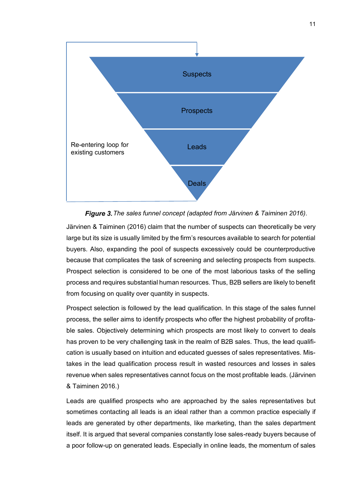



Järvinen & Taiminen (2016) claim that the number of suspects can theoretically be very large but its size is usually limited by the firm's resources available to search for potential buyers. Also, expanding the pool of suspects excessively could be counterproductive because that complicates the task of screening and selecting prospects from suspects. Prospect selection is considered to be one of the most laborious tasks of the selling process and requires substantial human resources. Thus, B2B sellers are likely to benefit from focusing on quality over quantity in suspects.

Prospect selection is followed by the lead qualification. In this stage of the sales funnel process, the seller aims to identify prospects who offer the highest probability of profitable sales. Objectively determining which prospects are most likely to convert to deals has proven to be very challenging task in the realm of B2B sales. Thus, the lead qualification is usually based on intuition and educated guesses of sales representatives. Mistakes in the lead qualification process result in wasted resources and losses in sales revenue when sales representatives cannot focus on the most profitable leads. (Järvinen & Taiminen 2016.)

Leads are qualified prospects who are approached by the sales representatives but sometimes contacting all leads is an ideal rather than a common practice especially if leads are generated by other departments, like marketing, than the sales department itself. It is argued that several companies constantly lose sales-ready buyers because of a poor follow-up on generated leads. Especially in online leads, the momentum of sales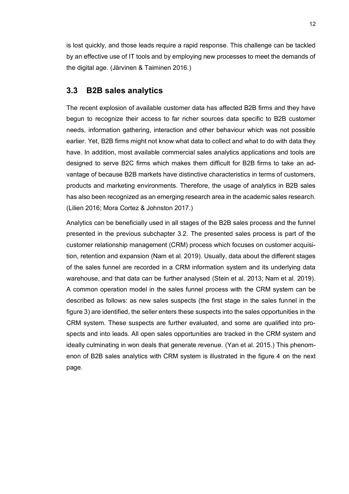is lost quickly, and those leads require a rapid response. This challenge can be tackled by an effective use of IT tools and by employing new processes to meet the demands of the digital age. (Järvinen & Taiminen 2016.)

#### <span id="page-18-0"></span>**3.3 B2B sales analytics**

The recent explosion of available customer data has affected B2B firms and they have begun to recognize their access to far richer sources data specific to B2B customer needs, information gathering, interaction and other behaviour which was not possible earlier. Yet, B2B firms might not know what data to collect and what to do with data they have. In addition, most available commercial sales analytics applications and tools are designed to serve B2C firms which makes them difficult for B2B firms to take an advantage of because B2B markets have distinctive characteristics in terms of customers, products and marketing environments. Therefore, the usage of analytics in B2B sales has also been recognized as an emerging research area in the academic sales research. (Lilien 2016; Mora Cortez & Johnston 2017.)

Analytics can be beneficially used in all stages of the B2B sales process and the funnel presented in the previous subchapter 3.2. The presented sales process is part of the customer relationship management (CRM) process which focuses on customer acquisition, retention and expansion (Nam et al. 2019). Usually, data about the different stages of the sales funnel are recorded in a CRM information system and its underlying data warehouse, and that data can be further analysed (Stein et al. 2013; Nam et al. 2019). A common operation model in the sales funnel process with the CRM system can be described as follows: as new sales suspects (the first stage in the sales funnel in the figure 3) are identified, the seller enters these suspects into the sales opportunities in the CRM system. These suspects are further evaluated, and some are qualified into prospects and into leads. All open sales opportunities are tracked in the CRM system and ideally culminating in won deals that generate revenue. (Yan et al. 2015.) This phenomenon of B2B sales analytics with CRM system is illustrated in the figure 4 on the next page.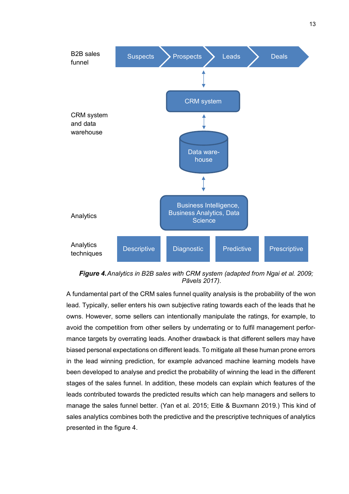

*Analytics in B2B sales with CRM system (adapted from Ngai et al. 2009; Pāvels 2017).*

A fundamental part of the CRM sales funnel quality analysis is the probability of the won lead. Typically, seller enters his own subjective rating towards each of the leads that he owns. However, some sellers can intentionally manipulate the ratings, for example, to avoid the competition from other sellers by underrating or to fulfil management performance targets by overrating leads. Another drawback is that different sellers may have biased personal expectations on different leads. To mitigate all these human prone errors in the lead winning prediction, for example advanced machine learning models have been developed to analyse and predict the probability of winning the lead in the different stages of the sales funnel. In addition, these models can explain which features of the leads contributed towards the predicted results which can help managers and sellers to manage the sales funnel better. (Yan et al. 2015; Eitle & Buxmann 2019.) This kind of sales analytics combines both the predictive and the prescriptive techniques of analytics presented in the figure 4.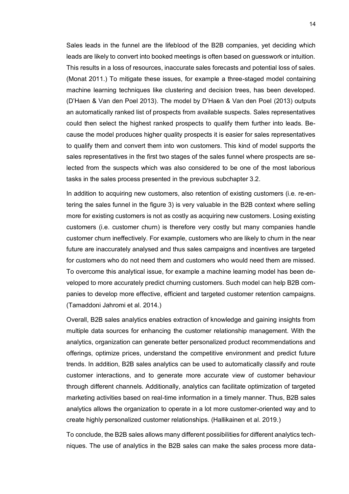Sales leads in the funnel are the lifeblood of the B2B companies, yet deciding which leads are likely to convert into booked meetings is often based on guesswork or intuition. This results in a loss of resources, inaccurate sales forecasts and potential loss of sales. (Monat 2011.) To mitigate these issues, for example a three-staged model containing machine learning techniques like clustering and decision trees, has been developed. (D'Haen & Van den Poel 2013). The model by D'Haen & Van den Poel (2013) outputs an automatically ranked list of prospects from available suspects. Sales representatives could then select the highest ranked prospects to qualify them further into leads. Because the model produces higher quality prospects it is easier for sales representatives to qualify them and convert them into won customers. This kind of model supports the sales representatives in the first two stages of the sales funnel where prospects are selected from the suspects which was also considered to be one of the most laborious tasks in the sales process presented in the previous subchapter 3.2.

In addition to acquiring new customers, also retention of existing customers (i.e. re-entering the sales funnel in the figure 3) is very valuable in the B2B context where selling more for existing customers is not as costly as acquiring new customers. Losing existing customers (i.e. customer churn) is therefore very costly but many companies handle customer churn ineffectively. For example, customers who are likely to churn in the near future are inaccurately analysed and thus sales campaigns and incentives are targeted for customers who do not need them and customers who would need them are missed. To overcome this analytical issue, for example a machine learning model has been developed to more accurately predict churning customers. Such model can help B2B companies to develop more effective, efficient and targeted customer retention campaigns. (Tamaddoni Jahromi et al. 2014.)

Overall, B2B sales analytics enables extraction of knowledge and gaining insights from multiple data sources for enhancing the customer relationship management. With the analytics, organization can generate better personalized product recommendations and offerings, optimize prices, understand the competitive environment and predict future trends. In addition, B2B sales analytics can be used to automatically classify and route customer interactions, and to generate more accurate view of customer behaviour through different channels. Additionally, analytics can facilitate optimization of targeted marketing activities based on real-time information in a timely manner. Thus, B2B sales analytics allows the organization to operate in a lot more customer-oriented way and to create highly personalized customer relationships. (Hallikainen et al. 2019.)

To conclude, the B2B sales allows many different possibilities for different analytics techniques. The use of analytics in the B2B sales can make the sales process more data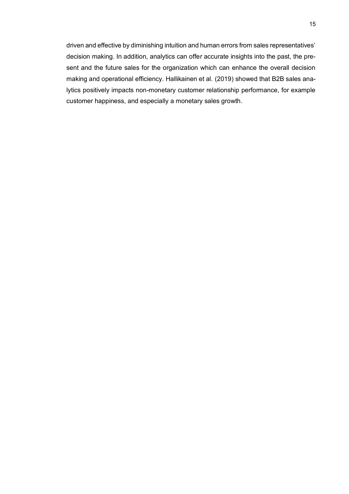driven and effective by diminishing intuition and human errors from sales representatives' decision making. In addition, analytics can offer accurate insights into the past, the present and the future sales for the organization which can enhance the overall decision making and operational efficiency. Hallikainen et al. (2019) showed that B2B sales analytics positively impacts non-monetary customer relationship performance, for example customer happiness, and especially a monetary sales growth.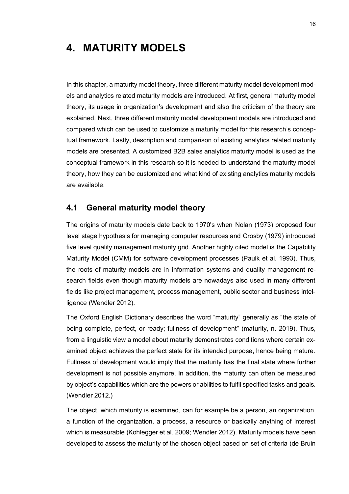## <span id="page-22-0"></span>**4. MATURITY MODELS**

In this chapter, a maturity model theory, three different maturity model development models and analytics related maturity models are introduced. At first, general maturity model theory, its usage in organization's development and also the criticism of the theory are explained. Next, three different maturity model development models are introduced and compared which can be used to customize a maturity model for this research's conceptual framework. Lastly, description and comparison of existing analytics related maturity models are presented. A customized B2B sales analytics maturity model is used as the conceptual framework in this research so it is needed to understand the maturity model theory, how they can be customized and what kind of existing analytics maturity models are available.

#### <span id="page-22-1"></span>**4.1 General maturity model theory**

The origins of maturity models date back to 1970's when Nolan (1973) proposed four level stage hypothesis for managing computer resources and Crosby (1979) introduced five level quality management maturity grid. Another highly cited model is the Capability Maturity Model (CMM) for software development processes (Paulk et al. 1993). Thus, the roots of maturity models are in information systems and quality management research fields even though maturity models are nowadays also used in many different fields like project management, process management, public sector and business intelligence (Wendler 2012).

The Oxford English Dictionary describes the word "maturity" generally as "the state of being complete, perfect, or ready; fullness of development" (maturity, n. 2019). Thus, from a linguistic view a model about maturity demonstrates conditions where certain examined object achieves the perfect state for its intended purpose, hence being mature. Fullness of development would imply that the maturity has the final state where further development is not possible anymore. In addition, the maturity can often be measured by object's capabilities which are the powers or abilities to fulfil specified tasks and goals. (Wendler 2012.)

The object, which maturity is examined, can for example be a person, an organization, a function of the organization, a process, a resource or basically anything of interest which is measurable (Kohlegger et al. 2009; Wendler 2012). Maturity models have been developed to assess the maturity of the chosen object based on set of criteria (de Bruin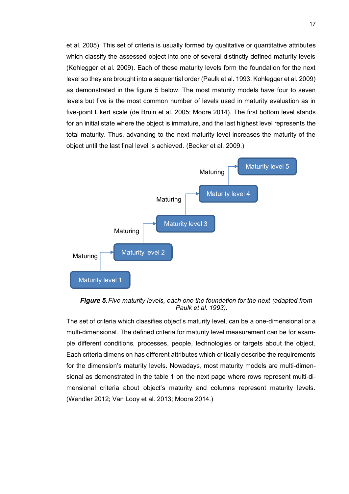et al. 2005). This set of criteria is usually formed by qualitative or quantitative attributes which classify the assessed object into one of several distinctly defined maturity levels (Kohlegger et al. 2009). Each of these maturity levels form the foundation for the next level so they are brought into a sequential order (Paulk et al. 1993; Kohlegger et al. 2009) as demonstrated in the figure 5 below. The most maturity models have four to seven levels but five is the most common number of levels used in maturity evaluation as in five-point Likert scale (de Bruin et al. 2005; Moore 2014). The first bottom level stands for an initial state where the object is immature, and the last highest level represents the total maturity. Thus, advancing to the next maturity level increases the maturity of the object until the last final level is achieved. (Becker et al. 2009.)



**Figure 5.** Five maturity levels, each one the foundation for the next (adapted from *Paulk et al. 1993).*

The set of criteria which classifies object's maturity level, can be a one-dimensional or a multi-dimensional. The defined criteria for maturity level measurement can be for example different conditions, processes, people, technologies or targets about the object. Each criteria dimension has different attributes which critically describe the requirements for the dimension's maturity levels. Nowadays, most maturity models are multi-dimensional as demonstrated in the table 1 on the next page where rows represent multi-dimensional criteria about object's maturity and columns represent maturity levels. (Wendler 2012; Van Looy et al. 2013; Moore 2014.)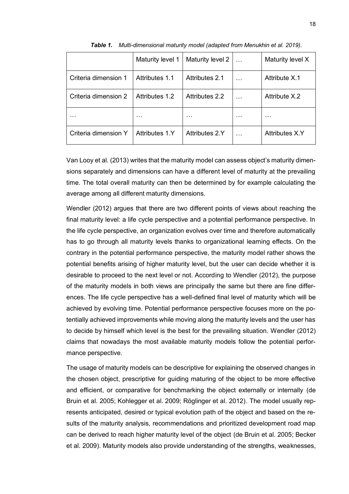|                      | Maturity level 1 | Maturity level 2 |   | Maturity level X      |
|----------------------|------------------|------------------|---|-----------------------|
| Criteria dimension 1 | Attributes 1.1   | Attributes 2.1   |   | Attribute X.1         |
| Criteria dimension 2 | Attributes 1.2   | Attributes 2.2   |   | Attribute X.2         |
| .                    | .                | .                | . | .                     |
| Criteria dimension Y | Attributes 1 Y   | Attributes 2.Y   |   | <b>Attributes X.Y</b> |

*Table 1. Multi-dimensional maturity model (adapted from Menukhin et al. 2019).*

Van Looy et al. (2013) writes that the maturity model can assess object's maturity dimensions separately and dimensions can have a different level of maturity at the prevailing time. The total overall maturity can then be determined by for example calculating the average among all different maturity dimensions.

Wendler (2012) argues that there are two different points of views about reaching the final maturity level: a life cycle perspective and a potential performance perspective. In the life cycle perspective, an organization evolves over time and therefore automatically has to go through all maturity levels thanks to organizational learning effects. On the contrary in the potential performance perspective, the maturity model rather shows the potential benefits arising of higher maturity level, but the user can decide whether it is desirable to proceed to the next level or not. According to Wendler (2012), the purpose of the maturity models in both views are principally the same but there are fine differences. The life cycle perspective has a well-defined final level of maturity which will be achieved by evolving time. Potential performance perspective focuses more on the potentially achieved improvements while moving along the maturity levels and the user has to decide by himself which level is the best for the prevailing situation. Wendler (2012) claims that nowadays the most available maturity models follow the potential performance perspective.

The usage of maturity models can be descriptive for explaining the observed changes in the chosen object, prescriptive for guiding maturing of the object to be more effective and efficient, or comparative for benchmarking the object externally or internally (de Bruin et al. 2005; Kohlegger et al. 2009; Röglinger et al. 2012). The model usually represents anticipated, desired or typical evolution path of the object and based on the results of the maturity analysis, recommendations and prioritized development road map can be derived to reach higher maturity level of the object (de Bruin et al. 2005; Becker et al. 2009). Maturity models also provide understanding of the strengths, weaknesses,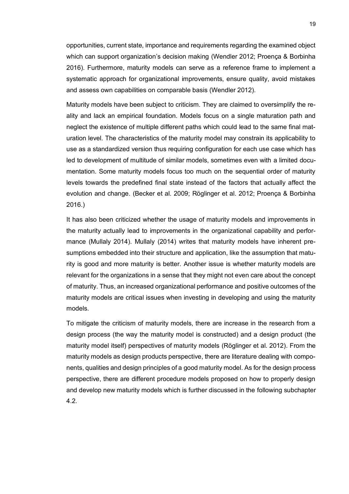opportunities, current state, importance and requirements regarding the examined object which can support organization's decision making (Wendler 2012; Proença & Borbinha 2016). Furthermore, maturity models can serve as a reference frame to implement a systematic approach for organizational improvements, ensure quality, avoid mistakes and assess own capabilities on comparable basis (Wendler 2012).

Maturity models have been subject to criticism. They are claimed to oversimplify the reality and lack an empirical foundation. Models focus on a single maturation path and neglect the existence of multiple different paths which could lead to the same final maturation level. The characteristics of the maturity model may constrain its applicability to use as a standardized version thus requiring configuration for each use case which has led to development of multitude of similar models, sometimes even with a limited documentation. Some maturity models focus too much on the sequential order of maturity levels towards the predefined final state instead of the factors that actually affect the evolution and change. (Becker et al. 2009; Röglinger et al. 2012; Proença & Borbinha 2016.)

It has also been criticized whether the usage of maturity models and improvements in the maturity actually lead to improvements in the organizational capability and performance (Mullaly 2014). Mullaly (2014) writes that maturity models have inherent presumptions embedded into their structure and application, like the assumption that maturity is good and more maturity is better. Another issue is whether maturity models are relevant for the organizations in a sense that they might not even care about the concept of maturity. Thus, an increased organizational performance and positive outcomes of the maturity models are critical issues when investing in developing and using the maturity models.

To mitigate the criticism of maturity models, there are increase in the research from a design process (the way the maturity model is constructed) and a design product (the maturity model itself) perspectives of maturity models (Röglinger et al. 2012). From the maturity models as design products perspective, there are literature dealing with components, qualities and design principles of a good maturity model. As for the design process perspective, there are different procedure models proposed on how to properly design and develop new maturity models which is further discussed in the following subchapter 4.2.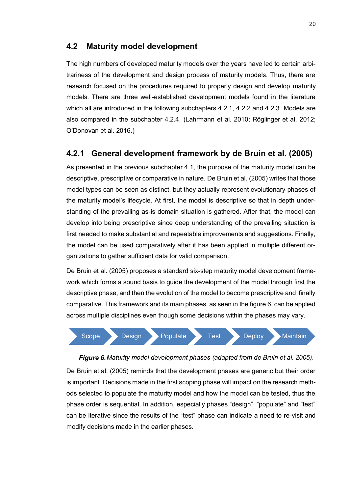#### <span id="page-26-0"></span>**4.2 Maturity model development**

The high numbers of developed maturity models over the years have led to certain arbitrariness of the development and design process of maturity models. Thus, there are research focused on the procedures required to properly design and develop maturity models. There are three well-established development models found in the literature which all are introduced in the following subchapters 4.2.1, 4.2.2 and 4.2.3. Models are also compared in the subchapter 4.2.4. (Lahrmann et al. 2010; Röglinger et al. 2012; O'Donovan et al. 2016.)

#### <span id="page-26-1"></span>**4.2.1 General development framework by de Bruin et al. (2005)**

As presented in the previous subchapter 4.1, the purpose of the maturity model can be descriptive, prescriptive or comparative in nature. De Bruin et al. (2005) writes that those model types can be seen as distinct, but they actually represent evolutionary phases of the maturity model's lifecycle. At first, the model is descriptive so that in depth understanding of the prevailing as-is domain situation is gathered. After that, the model can develop into being prescriptive since deep understanding of the prevailing situation is first needed to make substantial and repeatable improvements and suggestions. Finally, the model can be used comparatively after it has been applied in multiple different organizations to gather sufficient data for valid comparison.

De Bruin et al. (2005) proposes a standard six-step maturity model development framework which forms a sound basis to guide the development of the model through first the descriptive phase, and then the evolution of the model to become prescriptive and finally comparative. This framework and its main phases, as seen in the figure 6, can be applied across multiple disciplines even though some decisions within the phases may vary.



*Maturity model development phases (adapted from de Bruin et al. 2005).* De Bruin et al. (2005) reminds that the development phases are generic but their order is important. Decisions made in the first scoping phase will impact on the research methods selected to populate the maturity model and how the model can be tested, thus the phase order is sequential. In addition, especially phases "design", "populate" and "test" can be iterative since the results of the "test" phase can indicate a need to re-visit and modify decisions made in the earlier phases.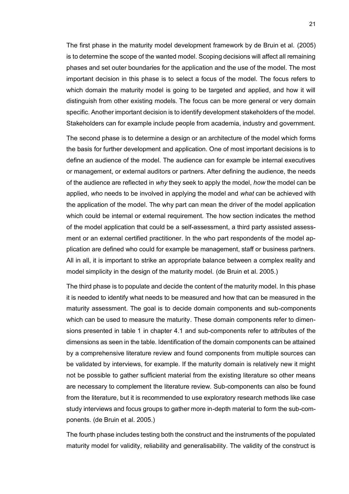The first phase in the maturity model development framework by de Bruin et al. (2005) is to determine the scope of the wanted model. Scoping decisions will affect all remaining phases and set outer boundaries for the application and the use of the model. The most important decision in this phase is to select a focus of the model. The focus refers to which domain the maturity model is going to be targeted and applied, and how it will distinguish from other existing models. The focus can be more general or very domain specific. Another important decision is to identify development stakeholders of the model. Stakeholders can for example include people from academia, industry and government.

The second phase is to determine a design or an architecture of the model which forms the basis for further development and application. One of most important decisions is to define an audience of the model. The audience can for example be internal executives or management, or external auditors or partners. After defining the audience, the needs of the audience are reflected in *why* they seek to apply the model, *how* the model can be applied, *who* needs to be involved in applying the model and *what* can be achieved with the application of the model. The why part can mean the driver of the model application which could be internal or external requirement. The how section indicates the method of the model application that could be a self-assessment, a third party assisted assessment or an external certified practitioner. In the who part respondents of the model application are defined who could for example be management, staff or business partners. All in all, it is important to strike an appropriate balance between a complex reality and model simplicity in the design of the maturity model. (de Bruin et al. 2005.)

The third phase is to populate and decide the content of the maturity model. In this phase it is needed to identify what needs to be measured and how that can be measured in the maturity assessment. The goal is to decide domain components and sub-components which can be used to measure the maturity. These domain components refer to dimensions presented in table 1 in chapter 4.1 and sub-components refer to attributes of the dimensions as seen in the table. Identification of the domain components can be attained by a comprehensive literature review and found components from multiple sources can be validated by interviews, for example. If the maturity domain is relatively new it might not be possible to gather sufficient material from the existing literature so other means are necessary to complement the literature review. Sub-components can also be found from the literature, but it is recommended to use exploratory research methods like case study interviews and focus groups to gather more in-depth material to form the sub-components. (de Bruin et al. 2005.)

The fourth phase includes testing both the construct and the instruments of the populated maturity model for validity, reliability and generalisability. The validity of the construct is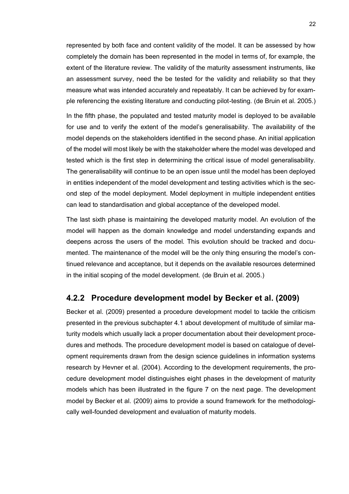represented by both face and content validity of the model. It can be assessed by how completely the domain has been represented in the model in terms of, for example, the extent of the literature review. The validity of the maturity assessment instruments, like an assessment survey, need the be tested for the validity and reliability so that they measure what was intended accurately and repeatably. It can be achieved by for example referencing the existing literature and conducting pilot-testing. (de Bruin et al. 2005.)

In the fifth phase, the populated and tested maturity model is deployed to be available for use and to verify the extent of the model's generalisability. The availability of the model depends on the stakeholders identified in the second phase. An initial application of the model will most likely be with the stakeholder where the model was developed and tested which is the first step in determining the critical issue of model generalisability. The generalisability will continue to be an open issue until the model has been deployed in entities independent of the model development and testing activities which is the second step of the model deployment. Model deployment in multiple independent entities can lead to standardisation and global acceptance of the developed model.

The last sixth phase is maintaining the developed maturity model. An evolution of the model will happen as the domain knowledge and model understanding expands and deepens across the users of the model. This evolution should be tracked and documented. The maintenance of the model will be the only thing ensuring the model's continued relevance and acceptance, but it depends on the available resources determined in the initial scoping of the model development. (de Bruin et al. 2005.)

#### <span id="page-28-0"></span>**4.2.2 Procedure development model by Becker et al. (2009)**

Becker et al. (2009) presented a procedure development model to tackle the criticism presented in the previous subchapter 4.1 about development of multitude of similar maturity models which usually lack a proper documentation about their development procedures and methods. The procedure development model is based on catalogue of development requirements drawn from the design science guidelines in information systems research by Hevner et al. (2004). According to the development requirements, the procedure development model distinguishes eight phases in the development of maturity models which has been illustrated in the figure 7 on the next page. The development model by Becker et al. (2009) aims to provide a sound framework for the methodologically well-founded development and evaluation of maturity models.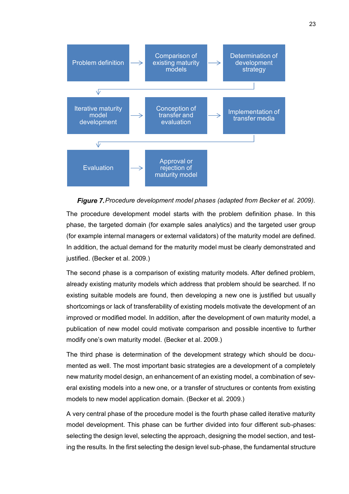

**Figure 7.** Procedure development model phases (adapted from Becker et al. 2009).

The procedure development model starts with the problem definition phase. In this phase, the targeted domain (for example sales analytics) and the targeted user group (for example internal managers or external validators) of the maturity model are defined. In addition, the actual demand for the maturity model must be clearly demonstrated and justified. (Becker et al. 2009.)

The second phase is a comparison of existing maturity models. After defined problem, already existing maturity models which address that problem should be searched. If no existing suitable models are found, then developing a new one is justified but usually shortcomings or lack of transferability of existing models motivate the development of an improved or modified model. In addition, after the development of own maturity model, a publication of new model could motivate comparison and possible incentive to further modify one's own maturity model. (Becker et al. 2009.)

The third phase is determination of the development strategy which should be documented as well. The most important basic strategies are a development of a completely new maturity model design, an enhancement of an existing model, a combination of several existing models into a new one, or a transfer of structures or contents from existing models to new model application domain. (Becker et al. 2009.)

A very central phase of the procedure model is the fourth phase called iterative maturity model development. This phase can be further divided into four different sub-phases: selecting the design level, selecting the approach, designing the model section, and testing the results. In the first selecting the design level sub-phase, the fundamental structure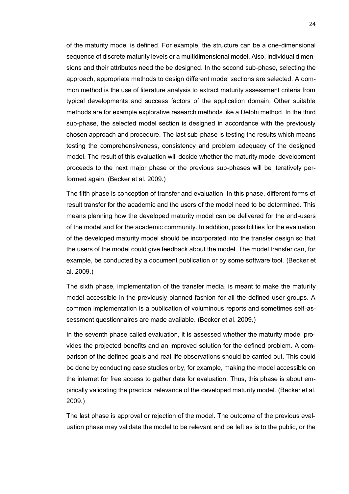of the maturity model is defined. For example, the structure can be a one-dimensional sequence of discrete maturity levels or a multidimensional model. Also, individual dimensions and their attributes need the be designed. In the second sub-phase, selecting the approach, appropriate methods to design different model sections are selected. A common method is the use of literature analysis to extract maturity assessment criteria from typical developments and success factors of the application domain. Other suitable methods are for example explorative research methods like a Delphi method. In the third sub-phase, the selected model section is designed in accordance with the previously chosen approach and procedure. The last sub-phase is testing the results which means testing the comprehensiveness, consistency and problem adequacy of the designed model. The result of this evaluation will decide whether the maturity model development proceeds to the next major phase or the previous sub-phases will be iteratively performed again. (Becker et al. 2009.)

The fifth phase is conception of transfer and evaluation. In this phase, different forms of result transfer for the academic and the users of the model need to be determined. This means planning how the developed maturity model can be delivered for the end-users of the model and for the academic community. In addition, possibilities for the evaluation of the developed maturity model should be incorporated into the transfer design so that the users of the model could give feedback about the model. The model transfer can, for example, be conducted by a document publication or by some software tool. (Becker et al. 2009.)

The sixth phase, implementation of the transfer media, is meant to make the maturity model accessible in the previously planned fashion for all the defined user groups. A common implementation is a publication of voluminous reports and sometimes self-assessment questionnaires are made available. (Becker et al. 2009.)

In the seventh phase called evaluation, it is assessed whether the maturity model provides the projected benefits and an improved solution for the defined problem. A comparison of the defined goals and real-life observations should be carried out. This could be done by conducting case studies or by, for example, making the model accessible on the internet for free access to gather data for evaluation. Thus, this phase is about empirically validating the practical relevance of the developed maturity model. (Becker et al. 2009.)

The last phase is approval or rejection of the model. The outcome of the previous evaluation phase may validate the model to be relevant and be left as is to the public, or the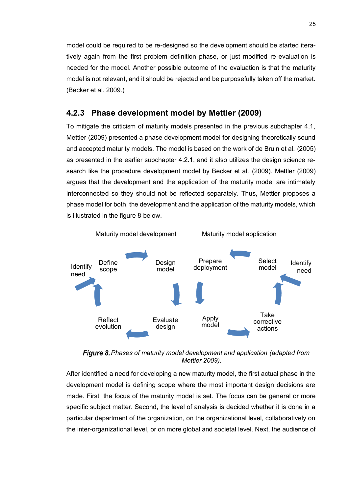model could be required to be re-designed so the development should be started iteratively again from the first problem definition phase, or just modified re-evaluation is needed for the model. Another possible outcome of the evaluation is that the maturity model is not relevant, and it should be rejected and be purposefully taken off the market. (Becker et al. 2009.)

#### <span id="page-31-0"></span>**4.2.3 Phase development model by Mettler (2009)**

To mitigate the criticism of maturity models presented in the previous subchapter 4.1, Mettler (2009) presented a phase development model for designing theoretically sound and accepted maturity models. The model is based on the work of de Bruin et al. (2005) as presented in the earlier subchapter 4.2.1, and it also utilizes the design science research like the procedure development model by Becker et al. (2009). Mettler (2009) argues that the development and the application of the maturity model are intimately interconnected so they should not be reflected separately. Thus, Mettler proposes a phase model for both, the development and the application of the maturity models, which is illustrated in the figure 8 below.



**Figure 8.** Phases of maturity model development and application (adapted from *Mettler 2009).*

After identified a need for developing a new maturity model, the first actual phase in the development model is defining scope where the most important design decisions are made. First, the focus of the maturity model is set. The focus can be general or more specific subject matter. Second, the level of analysis is decided whether it is done in a particular department of the organization, on the organizational level, collaboratively on the inter-organizational level, or on more global and societal level. Next, the audience of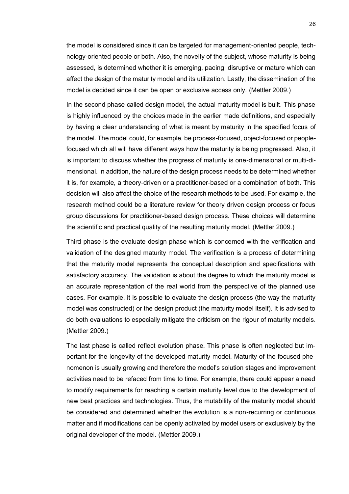the model is considered since it can be targeted for management-oriented people, technology-oriented people or both. Also, the novelty of the subject, whose maturity is being assessed, is determined whether it is emerging, pacing, disruptive or mature which can affect the design of the maturity model and its utilization. Lastly, the dissemination of the model is decided since it can be open or exclusive access only. (Mettler 2009.)

In the second phase called design model, the actual maturity model is built. This phase is highly influenced by the choices made in the earlier made definitions, and especially by having a clear understanding of what is meant by maturity in the specified focus of the model. The model could, for example, be process-focused, object-focused or peoplefocused which all will have different ways how the maturity is being progressed. Also, it is important to discuss whether the progress of maturity is one-dimensional or multi-dimensional. In addition, the nature of the design process needs to be determined whether it is, for example, a theory-driven or a practitioner-based or a combination of both. This decision will also affect the choice of the research methods to be used. For example, the research method could be a literature review for theory driven design process or focus group discussions for practitioner-based design process. These choices will determine the scientific and practical quality of the resulting maturity model. (Mettler 2009.)

Third phase is the evaluate design phase which is concerned with the verification and validation of the designed maturity model. The verification is a process of determining that the maturity model represents the conceptual description and specifications with satisfactory accuracy. The validation is about the degree to which the maturity model is an accurate representation of the real world from the perspective of the planned use cases. For example, it is possible to evaluate the design process (the way the maturity model was constructed) or the design product (the maturity model itself). It is advised to do both evaluations to especially mitigate the criticism on the rigour of maturity models. (Mettler 2009.)

The last phase is called reflect evolution phase. This phase is often neglected but important for the longevity of the developed maturity model. Maturity of the focused phenomenon is usually growing and therefore the model's solution stages and improvement activities need to be refaced from time to time. For example, there could appear a need to modify requirements for reaching a certain maturity level due to the development of new best practices and technologies. Thus, the mutability of the maturity model should be considered and determined whether the evolution is a non-recurring or continuous matter and if modifications can be openly activated by model users or exclusively by the original developer of the model. (Mettler 2009.)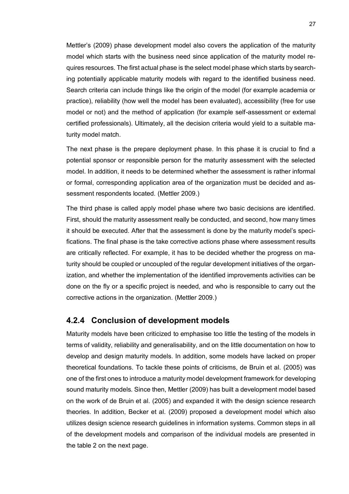Mettler's (2009) phase development model also covers the application of the maturity model which starts with the business need since application of the maturity model requires resources. The first actual phase is the select model phase which starts by searching potentially applicable maturity models with regard to the identified business need. Search criteria can include things like the origin of the model (for example academia or practice), reliability (how well the model has been evaluated), accessibility (free for use model or not) and the method of application (for example self-assessment or external certified professionals). Ultimately, all the decision criteria would yield to a suitable maturity model match.

The next phase is the prepare deployment phase. In this phase it is crucial to find a potential sponsor or responsible person for the maturity assessment with the selected model. In addition, it needs to be determined whether the assessment is rather informal or formal, corresponding application area of the organization must be decided and assessment respondents located. (Mettler 2009.)

The third phase is called apply model phase where two basic decisions are identified. First, should the maturity assessment really be conducted, and second, how many times it should be executed. After that the assessment is done by the maturity model's specifications. The final phase is the take corrective actions phase where assessment results are critically reflected. For example, it has to be decided whether the progress on maturity should be coupled or uncoupled of the regular development initiatives of the organization, and whether the implementation of the identified improvements activities can be done on the fly or a specific project is needed, and who is responsible to carry out the corrective actions in the organization. (Mettler 2009.)

#### <span id="page-33-0"></span>**4.2.4 Conclusion of development models**

Maturity models have been criticized to emphasise too little the testing of the models in terms of validity, reliability and generalisability, and on the little documentation on how to develop and design maturity models. In addition, some models have lacked on proper theoretical foundations. To tackle these points of criticisms, de Bruin et al. (2005) was one of the first ones to introduce a maturity model development framework for developing sound maturity models. Since then, Mettler (2009) has built a development model based on the work of de Bruin et al. (2005) and expanded it with the design science research theories. In addition, Becker et al. (2009) proposed a development model which also utilizes design science research guidelines in information systems. Common steps in all of the development models and comparison of the individual models are presented in the table 2 on the next page.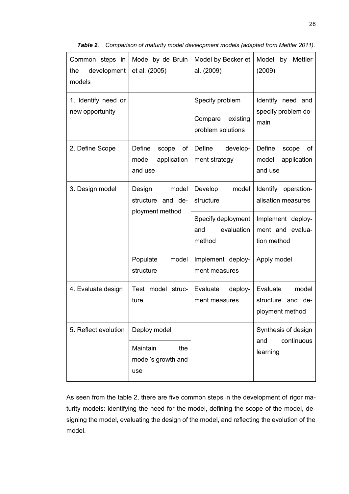| Common steps in<br>development<br>the<br>models | Model by de Bruin<br>et al. (2005)                       | Model by Becker et<br>al. (2009)                  | Model by Mettler<br>(2009)                                |
|-------------------------------------------------|----------------------------------------------------------|---------------------------------------------------|-----------------------------------------------------------|
| 1. Identify need or                             |                                                          | Specify problem                                   | Identify need and<br>specify problem do-<br>main          |
| new opportunity                                 |                                                          | Compare<br>existing<br>problem solutions          |                                                           |
| 2. Define Scope                                 | Define<br>scope<br>оf<br>model<br>application<br>and use | Define<br>develop-<br>ment strategy               | Define<br>scope<br>оf<br>model<br>application<br>and use  |
| 3. Design model                                 | Design<br>model<br>structure and de-                     | model<br>Develop<br>structure                     | Identify operation-<br>alisation measures                 |
|                                                 | ployment method                                          | Specify deployment<br>evaluation<br>and<br>method | Implement deploy-<br>ment and evalua-<br>tion method      |
|                                                 | model<br>Populate<br>structure                           | Implement deploy-<br>ment measures                | Apply model                                               |
| 4. Evaluate design                              | Test model struc-<br>ture                                | Evaluate<br>deploy-<br>ment measures              | Evaluate<br>model<br>structure and de-<br>ployment method |
| 5. Reflect evolution                            | Deploy model                                             |                                                   | Synthesis of design<br>continuous                         |
|                                                 | Maintain<br>the<br>model's growth and<br>use             |                                                   | and<br>learning                                           |

*Table 2. Comparison of maturity model development models (adapted from Mettler 2011).* 

As seen from the table 2, there are five common steps in the development of rigor maturity models: identifying the need for the model, defining the scope of the model, designing the model, evaluating the design of the model, and reflecting the evolution of the model.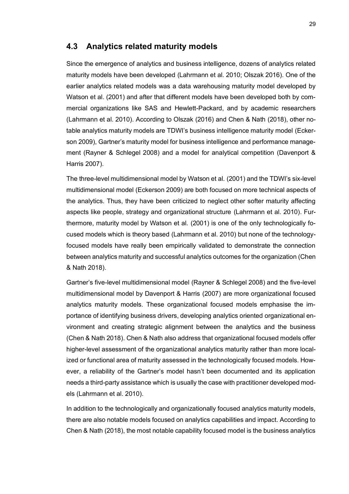#### <span id="page-35-0"></span>**4.3 Analytics related maturity models**

Since the emergence of analytics and business intelligence, dozens of analytics related maturity models have been developed (Lahrmann et al. 2010; Olszak 2016). One of the earlier analytics related models was a data warehousing maturity model developed by Watson et al. (2001) and after that different models have been developed both by commercial organizations like SAS and Hewlett-Packard, and by academic researchers (Lahrmann et al. 2010). According to Olszak (2016) and Chen & Nath (2018), other notable analytics maturity models are TDWI's business intelligence maturity model (Eckerson 2009), Gartner's maturity model for business intelligence and performance management (Rayner & Schlegel 2008) and a model for analytical competition (Davenport & Harris 2007).

The three-level multidimensional model by Watson et al. (2001) and the TDWI's six-level multidimensional model (Eckerson 2009) are both focused on more technical aspects of the analytics. Thus, they have been criticized to neglect other softer maturity affecting aspects like people, strategy and organizational structure (Lahrmann et al. 2010). Furthermore, maturity model by Watson et al. (2001) is one of the only technologically focused models which is theory based (Lahrmann et al. 2010) but none of the technologyfocused models have really been empirically validated to demonstrate the connection between analytics maturity and successful analytics outcomes for the organization (Chen & Nath 2018).

Gartner's five-level multidimensional model (Rayner & Schlegel 2008) and the five-level multidimensional model by Davenport & Harris (2007) are more organizational focused analytics maturity models. These organizational focused models emphasise the importance of identifying business drivers, developing analytics oriented organizational environment and creating strategic alignment between the analytics and the business (Chen & Nath 2018). Chen & Nath also address that organizational focused models offer higher-level assessment of the organizational analytics maturity rather than more localized or functional area of maturity assessed in the technologically focused models. However, a reliability of the Gartner's model hasn't been documented and its application needs a third-party assistance which is usually the case with practitioner developed models (Lahrmann et al. 2010).

In addition to the technologically and organizationally focused analytics maturity models, there are also notable models focused on analytics capabilities and impact. According to Chen & Nath (2018), the most notable capability focused model is the business analytics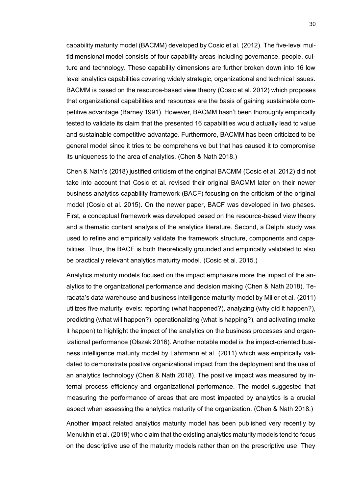capability maturity model (BACMM) developed by Cosic et al. (2012). The five-level multidimensional model consists of four capability areas including governance, people, culture and technology. These capability dimensions are further broken down into 16 low level analytics capabilities covering widely strategic, organizational and technical issues. BACMM is based on the resource-based view theory (Cosic et al. 2012) which proposes that organizational capabilities and resources are the basis of gaining sustainable competitive advantage (Barney 1991). However, BACMM hasn't been thoroughly empirically tested to validate its claim that the presented 16 capabilities would actually lead to value and sustainable competitive advantage. Furthermore, BACMM has been criticized to be general model since it tries to be comprehensive but that has caused it to compromise its uniqueness to the area of analytics. (Chen & Nath 2018.)

Chen & Nath's (2018) justified criticism of the original BACMM (Cosic et al. 2012) did not take into account that Cosic et al. revised their original BACMM later on their newer business analytics capability framework (BACF) focusing on the criticism of the original model (Cosic et al. 2015). On the newer paper, BACF was developed in two phases. First, a conceptual framework was developed based on the resource-based view theory and a thematic content analysis of the analytics literature. Second, a Delphi study was used to refine and empirically validate the framework structure, components and capabilities. Thus, the BACF is both theoretically grounded and empirically validated to also be practically relevant analytics maturity model. (Cosic et al. 2015.)

Analytics maturity models focused on the impact emphasize more the impact of the analytics to the organizational performance and decision making (Chen & Nath 2018). Teradata's data warehouse and business intelligence maturity model by Miller et al. (2011) utilizes five maturity levels: reporting (what happened?), analyzing (why did it happen?), predicting (what will happen?), operationalizing (what is happing?), and activating (make it happen) to highlight the impact of the analytics on the business processes and organizational performance (Olszak 2016). Another notable model is the impact-oriented business intelligence maturity model by Lahrmann et al. (2011) which was empirically validated to demonstrate positive organizational impact from the deployment and the use of an analytics technology (Chen & Nath 2018). The positive impact was measured by internal process efficiency and organizational performance. The model suggested that measuring the performance of areas that are most impacted by analytics is a crucial aspect when assessing the analytics maturity of the organization. (Chen & Nath 2018.)

Another impact related analytics maturity model has been published very recently by Menukhin et al. (2019) who claim that the existing analytics maturity models tend to focus on the descriptive use of the maturity models rather than on the prescriptive use. They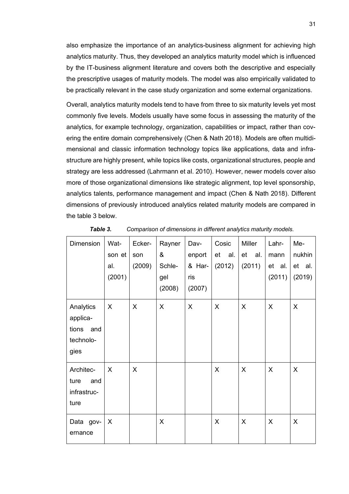also emphasize the importance of an analytics-business alignment for achieving high analytics maturity. Thus, they developed an analytics maturity model which is influenced by the IT-business alignment literature and covers both the descriptive and especially the prescriptive usages of maturity models. The model was also empirically validated to be practically relevant in the case study organization and some external organizations.

Overall, analytics maturity models tend to have from three to six maturity levels yet most commonly five levels. Models usually have some focus in assessing the maturity of the analytics, for example technology, organization, capabilities or impact, rather than covering the entire domain comprehensively (Chen & Nath 2018). Models are often multidimensional and classic information technology topics like applications, data and infrastructure are highly present, while topics like costs, organizational structures, people and strategy are less addressed (Lahrmann et al. 2010). However, newer models cover also more of those organizational dimensions like strategic alignment, top level sponsorship, analytics talents, performance management and impact (Chen & Nath 2018). Different dimensions of previously introduced analytics related maturity models are compared in the table 3 below.

| <b>Dimension</b>                                           | Wat-<br>son et<br>al.<br>(2001) | Ecker-<br>son<br>(2009) | Rayner<br>&<br>Schle-<br>gel<br>(2008) | Dav-<br>enport<br>& Har-<br>ris<br>(2007) | Cosic<br>et<br>al.<br>(2012) | Miller<br>et<br>al.<br>(2011) | Lahr-<br>mann<br>et al.<br>(2011) | Me-<br>nukhin<br>et al.<br>(2019) |
|------------------------------------------------------------|---------------------------------|-------------------------|----------------------------------------|-------------------------------------------|------------------------------|-------------------------------|-----------------------------------|-----------------------------------|
| Analytics<br>applica-<br>tions<br>and<br>technolo-<br>gies | X                               | X                       | X                                      | X                                         | X                            | X                             | X                                 | X                                 |
| Architec-<br>ture<br>and<br>infrastruc-<br>ture            | $\sf X$                         | X                       |                                        |                                           | X                            | X                             | X                                 | X                                 |
| Data gov-<br>ernance                                       | X                               |                         | X                                      |                                           | X                            | X                             | X                                 | X                                 |

*Table 3. Comparison of dimensions in different analytics maturity models.*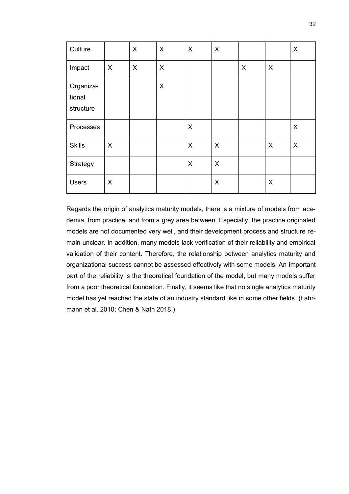| Culture                          |         | X                | $\times$ | X | X |   |   | X        |
|----------------------------------|---------|------------------|----------|---|---|---|---|----------|
| Impact                           | $\sf X$ | $\boldsymbol{X}$ | $\times$ |   |   | X | X |          |
| Organiza-<br>tional<br>structure |         |                  | X        |   |   |   |   |          |
| Processes                        |         |                  |          | X |   |   |   | $\times$ |
| <b>Skills</b>                    | X       |                  |          | X | X |   | X | X        |
| Strategy                         |         |                  |          | X | X |   |   |          |
| <b>Users</b>                     | X       |                  |          |   | X |   | X |          |

Regards the origin of analytics maturity models, there is a mixture of models from academia, from practice, and from a grey area between. Especially, the practice originated models are not documented very well, and their development process and structure remain unclear. In addition, many models lack verification of their reliability and empirical validation of their content. Therefore, the relationship between analytics maturity and organizational success cannot be assessed effectively with some models. An important part of the reliability is the theoretical foundation of the model, but many models suffer from a poor theoretical foundation. Finally, it seems like that no single analytics maturity model has yet reached the state of an industry standard like in some other fields. (Lahrmann et al. 2010; Chen & Nath 2018.)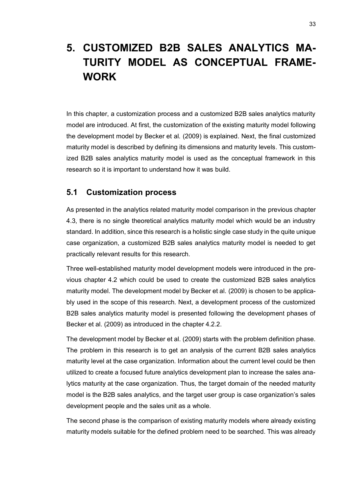# **5. CUSTOMIZED B2B SALES ANALYTICS MA-TURITY MODEL AS CONCEPTUAL FRAME-WORK**

In this chapter, a customization process and a customized B2B sales analytics maturity model are introduced. At first, the customization of the existing maturity model following the development model by Becker et al. (2009) is explained. Next, the final customized maturity model is described by defining its dimensions and maturity levels. This customized B2B sales analytics maturity model is used as the conceptual framework in this research so it is important to understand how it was build.

#### **5.1 Customization process**

As presented in the analytics related maturity model comparison in the previous chapter 4.3, there is no single theoretical analytics maturity model which would be an industry standard. In addition, since this research is a holistic single case study in the quite unique case organization, a customized B2B sales analytics maturity model is needed to get practically relevant results for this research.

Three well-established maturity model development models were introduced in the previous chapter 4.2 which could be used to create the customized B2B sales analytics maturity model. The development model by Becker et al. (2009) is chosen to be applicably used in the scope of this research. Next, a development process of the customized B2B sales analytics maturity model is presented following the development phases of Becker et al. (2009) as introduced in the chapter 4.2.2.

The development model by Becker et al. (2009) starts with the problem definition phase. The problem in this research is to get an analysis of the current B2B sales analytics maturity level at the case organization. Information about the current level could be then utilized to create a focused future analytics development plan to increase the sales analytics maturity at the case organization. Thus, the target domain of the needed maturity model is the B2B sales analytics, and the target user group is case organization's sales development people and the sales unit as a whole.

The second phase is the comparison of existing maturity models where already existing maturity models suitable for the defined problem need to be searched. This was already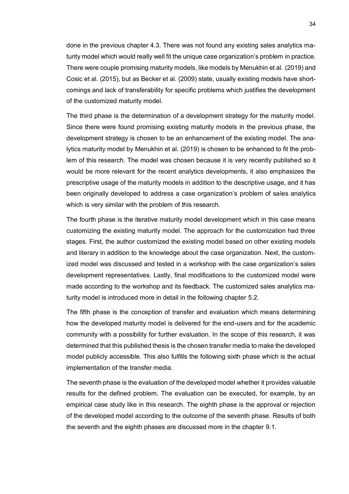done in the previous chapter 4.3. There was not found any existing sales analytics maturity model which would really well fit the unique case organization's problem in practice. There were couple promising maturity models, like models by Menukhin et al. (2019) and Cosic et al. (2015), but as Becker et al. (2009) state, usually existing models have shortcomings and lack of transferability for specific problems which justifies the development of the customized maturity model.

The third phase is the determination of a development strategy for the maturity model. Since there were found promising existing maturity models in the previous phase, the development strategy is chosen to be an enhancement of the existing model. The analytics maturity model by Menukhin et al. (2019) is chosen to be enhanced to fit the problem of this research. The model was chosen because it is very recently published so it would be more relevant for the recent analytics developments, it also emphasizes the prescriptive usage of the maturity models in addition to the descriptive usage, and it has been originally developed to address a case organization's problem of sales analytics which is very similar with the problem of this research.

The fourth phase is the iterative maturity model development which in this case means customizing the existing maturity model. The approach for the customization had three stages. First, the author customized the existing model based on other existing models and literary in addition to the knowledge about the case organization. Next, the customized model was discussed and tested in a workshop with the case organization's sales development representatives. Lastly, final modifications to the customized model were made according to the workshop and its feedback. The customized sales analytics maturity model is introduced more in detail in the following chapter 5.2.

The fifth phase is the conception of transfer and evaluation which means determining how the developed maturity model is delivered for the end-users and for the academic community with a possibility for further evaluation. In the scope of this research, it was determined that this published thesis is the chosen transfer media to make the developed model publicly accessible. This also fulfills the following sixth phase which is the actual implementation of the transfer media.

The seventh phase is the evaluation of the developed model whether it provides valuable results for the defined problem. The evaluation can be executed, for example, by an empirical case study like in this research. The eighth phase is the approval or rejection of the developed model according to the outcome of the seventh phase. Results of both the seventh and the eighth phases are discussed more in the chapter 9.1.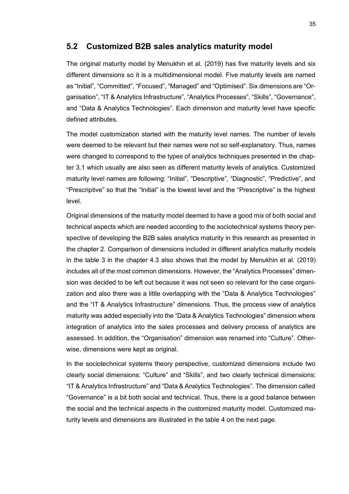#### **5.2 Customized B2B sales analytics maturity model**

The original maturity model by Menukhin et al. (2019) has five maturity levels and six different dimensions so it is a multidimensional model. Five maturity levels are named as "Initial", "Committed", "Focused", "Managed" and "Optimised". Six dimensions are "Organisation", "IT & Analytics Infrastructure", "Analytics Processes", "Skills", "Governance", and "Data & Analytics Technologies". Each dimension and maturity level have specific defined attributes.

The model customization started with the maturity level names. The number of levels were deemed to be relevant but their names were not so self-explanatory. Thus, names were changed to correspond to the types of analytics techniques presented in the chapter 3.1 which usually are also seen as different maturity levels of analytics. Customized maturity level names are following: "Initial", "Descriptive", "Diagnostic", "Predictive", and "Prescriptive" so that the "Initial" is the lowest level and the "Prescriptive" is the highest level.

Original dimensions of the maturity model deemed to have a good mix of both social and technical aspects which are needed according to the sociotechnical systems theory perspective of developing the B2B sales analytics maturity in this research as presented in the chapter 2. Comparison of dimensions included in different analytics maturity models in the table 3 in the chapter 4.3 also shows that the model by Menukhin et al. (2019) includes all of the most common dimensions. However, the "Analytics Processes" dimension was decided to be left out because it was not seen so relevant for the case organization and also there was a little overlapping with the "Data & Analytics Technologies" and the "IT & Analytics Infrastructure" dimensions. Thus, the process view of analytics maturity was added especially into the "Data & Analytics Technologies" dimension where integration of analytics into the sales processes and delivery process of analytics are assessed. In addition, the "Organisation" dimension was renamed into "Culture". Otherwise, dimensions were kept as original.

In the sociotechnical systems theory perspective, customized dimensions include two clearly social dimensions: "Culture" and "Skills", and two clearly technical dimensions: "IT & Analytics Infrastructure" and "Data & Analytics Technologies". The dimension called "Governance" is a bit both social and technical. Thus, there is a good balance between the social and the technical aspects in the customized maturity model. Customized maturity levels and dimensions are illustrated in the table 4 on the next page.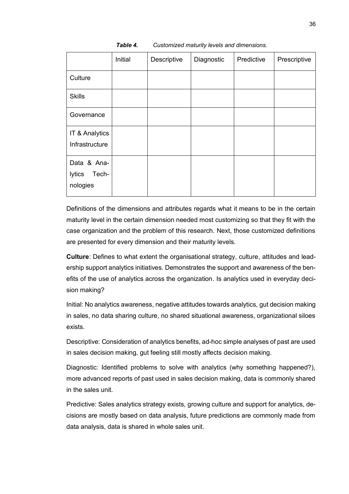|                                            | Initial | Descriptive | Diagnostic | Predictive | Prescriptive |
|--------------------------------------------|---------|-------------|------------|------------|--------------|
| Culture                                    |         |             |            |            |              |
| <b>Skills</b>                              |         |             |            |            |              |
| Governance                                 |         |             |            |            |              |
| IT & Analytics<br>Infrastructure           |         |             |            |            |              |
| Data & Ana-<br>lytics<br>Tech-<br>nologies |         |             |            |            |              |

*Table 4. Customized maturity levels and dimensions.*

Definitions of the dimensions and attributes regards what it means to be in the certain maturity level in the certain dimension needed most customizing so that they fit with the case organization and the problem of this research. Next, those customized definitions are presented for every dimension and their maturity levels.

**Culture**: Defines to what extent the organisational strategy, culture, attitudes and leadership support analytics initiatives. Demonstrates the support and awareness of the benefits of the use of analytics across the organization. Is analytics used in everyday decision making?

Initial: No analytics awareness, negative attitudes towards analytics, gut decision making in sales, no data sharing culture, no shared situational awareness, organizational siloes exists.

Descriptive: Consideration of analytics benefits, ad-hoc simple analyses of past are used in sales decision making, gut feeling still mostly affects decision making.

Diagnostic: Identified problems to solve with analytics (why something happened?), more advanced reports of past used in sales decision making, data is commonly shared in the sales unit.

Predictive: Sales analytics strategy exists, growing culture and support for analytics, decisions are mostly based on data analysis, future predictions are commonly made from data analysis, data is shared in whole sales unit.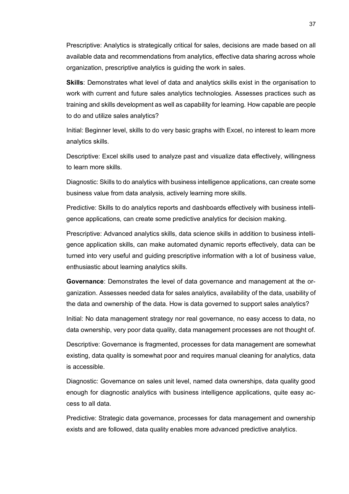Prescriptive: Analytics is strategically critical for sales, decisions are made based on all available data and recommendations from analytics, effective data sharing across whole organization, prescriptive analytics is guiding the work in sales.

**Skills**: Demonstrates what level of data and analytics skills exist in the organisation to work with current and future sales analytics technologies. Assesses practices such as training and skills development as well as capability for learning. How capable are people to do and utilize sales analytics?

Initial: Beginner level, skills to do very basic graphs with Excel, no interest to learn more analytics skills.

Descriptive: Excel skills used to analyze past and visualize data effectively, willingness to learn more skills.

Diagnostic: Skills to do analytics with business intelligence applications, can create some business value from data analysis, actively learning more skills.

Predictive: Skills to do analytics reports and dashboards effectively with business intelligence applications, can create some predictive analytics for decision making.

Prescriptive: Advanced analytics skills, data science skills in addition to business intelligence application skills, can make automated dynamic reports effectively, data can be turned into very useful and guiding prescriptive information with a lot of business value, enthusiastic about learning analytics skills.

**Governance**: Demonstrates the level of data governance and management at the organization. Assesses needed data for sales analytics, availability of the data, usability of the data and ownership of the data. How is data governed to support sales analytics?

Initial: No data management strategy nor real governance, no easy access to data, no data ownership, very poor data quality, data management processes are not thought of.

Descriptive: Governance is fragmented, processes for data management are somewhat existing, data quality is somewhat poor and requires manual cleaning for analytics, data is accessible.

Diagnostic: Governance on sales unit level, named data ownerships, data quality good enough for diagnostic analytics with business intelligence applications, quite easy access to all data.

Predictive: Strategic data governance, processes for data management and ownership exists and are followed, data quality enables more advanced predictive analytics.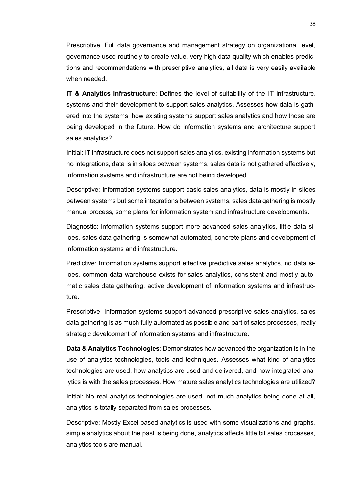Prescriptive: Full data governance and management strategy on organizational level, governance used routinely to create value, very high data quality which enables predictions and recommendations with prescriptive analytics, all data is very easily available when needed.

**IT & Analytics Infrastructure**: Defines the level of suitability of the IT infrastructure, systems and their development to support sales analytics. Assesses how data is gathered into the systems, how existing systems support sales analytics and how those are being developed in the future. How do information systems and architecture support sales analytics?

Initial: IT infrastructure does not support sales analytics, existing information systems but no integrations, data is in siloes between systems, sales data is not gathered effectively, information systems and infrastructure are not being developed.

Descriptive: Information systems support basic sales analytics, data is mostly in siloes between systems but some integrations between systems, sales data gathering is mostly manual process, some plans for information system and infrastructure developments.

Diagnostic: Information systems support more advanced sales analytics, little data siloes, sales data gathering is somewhat automated, concrete plans and development of information systems and infrastructure.

Predictive: Information systems support effective predictive sales analytics, no data siloes, common data warehouse exists for sales analytics, consistent and mostly automatic sales data gathering, active development of information systems and infrastructure.

Prescriptive: Information systems support advanced prescriptive sales analytics, sales data gathering is as much fully automated as possible and part of sales processes, really strategic development of information systems and infrastructure.

**Data & Analytics Technologies**: Demonstrates how advanced the organization is in the use of analytics technologies, tools and techniques. Assesses what kind of analytics technologies are used, how analytics are used and delivered, and how integrated analytics is with the sales processes. How mature sales analytics technologies are utilized?

Initial: No real analytics technologies are used, not much analytics being done at all, analytics is totally separated from sales processes.

Descriptive: Mostly Excel based analytics is used with some visualizations and graphs, simple analytics about the past is being done, analytics affects little bit sales processes, analytics tools are manual.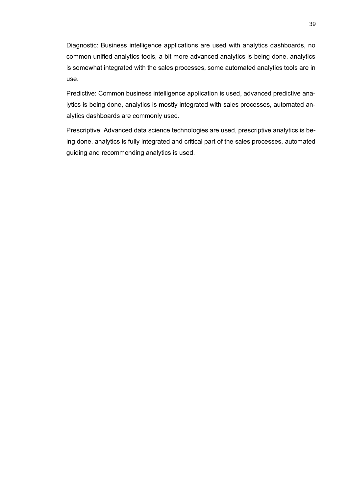Diagnostic: Business intelligence applications are used with analytics dashboards, no common unified analytics tools, a bit more advanced analytics is being done, analytics is somewhat integrated with the sales processes, some automated analytics tools are in use.

Predictive: Common business intelligence application is used, advanced predictive analytics is being done, analytics is mostly integrated with sales processes, automated analytics dashboards are commonly used.

Prescriptive: Advanced data science technologies are used, prescriptive analytics is being done, analytics is fully integrated and critical part of the sales processes, automated guiding and recommending analytics is used.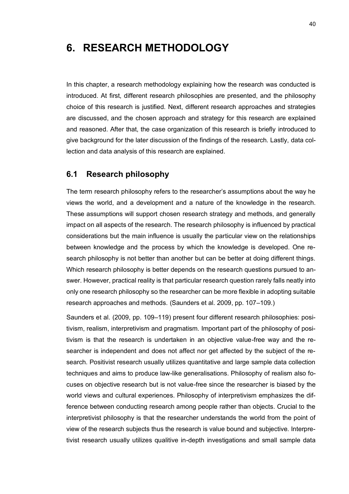## **6. RESEARCH METHODOLOGY**

In this chapter, a research methodology explaining how the research was conducted is introduced. At first, different research philosophies are presented, and the philosophy choice of this research is justified. Next, different research approaches and strategies are discussed, and the chosen approach and strategy for this research are explained and reasoned. After that, the case organization of this research is briefly introduced to give background for the later discussion of the findings of the research. Lastly, data collection and data analysis of this research are explained.

#### **6.1 Research philosophy**

The term research philosophy refers to the researcher's assumptions about the way he views the world, and a development and a nature of the knowledge in the research. These assumptions will support chosen research strategy and methods, and generally impact on all aspects of the research. The research philosophy is influenced by practical considerations but the main influence is usually the particular view on the relationships between knowledge and the process by which the knowledge is developed. One research philosophy is not better than another but can be better at doing different things. Which research philosophy is better depends on the research questions pursued to answer. However, practical reality is that particular research question rarely falls neatly into only one research philosophy so the researcher can be more flexible in adopting suitable research approaches and methods. (Saunders et al. 2009, pp. 107–109.)

Saunders et al. (2009, pp. 109–119) present four different research philosophies: positivism, realism, interpretivism and pragmatism. Important part of the philosophy of positivism is that the research is undertaken in an objective value-free way and the researcher is independent and does not affect nor get affected by the subject of the research. Positivist research usually utilizes quantitative and large sample data collection techniques and aims to produce law-like generalisations. Philosophy of realism also focuses on objective research but is not value-free since the researcher is biased by the world views and cultural experiences. Philosophy of interpretivism emphasizes the difference between conducting research among people rather than objects. Crucial to the interpretivist philosophy is that the researcher understands the world from the point of view of the research subjects thus the research is value bound and subjective. Interpretivist research usually utilizes qualitive in-depth investigations and small sample data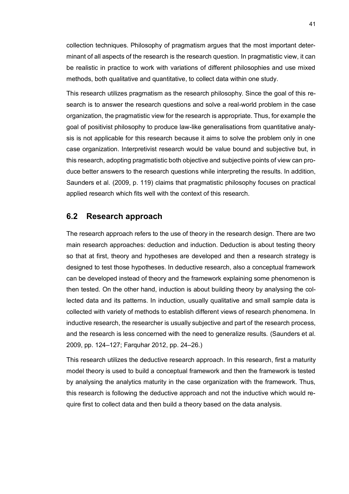collection techniques. Philosophy of pragmatism argues that the most important determinant of all aspects of the research is the research question. In pragmatistic view, it can be realistic in practice to work with variations of different philosophies and use mixed methods, both qualitative and quantitative, to collect data within one study.

This research utilizes pragmatism as the research philosophy. Since the goal of this research is to answer the research questions and solve a real-world problem in the case organization, the pragmatistic view for the research is appropriate. Thus, for example the goal of positivist philosophy to produce law-like generalisations from quantitative analysis is not applicable for this research because it aims to solve the problem only in one case organization. Interpretivist research would be value bound and subjective but, in this research, adopting pragmatistic both objective and subjective points of view can produce better answers to the research questions while interpreting the results. In addition, Saunders et al. (2009, p. 119) claims that pragmatistic philosophy focuses on practical applied research which fits well with the context of this research.

#### **6.2 Research approach**

The research approach refers to the use of theory in the research design. There are two main research approaches: deduction and induction. Deduction is about testing theory so that at first, theory and hypotheses are developed and then a research strategy is designed to test those hypotheses. In deductive research, also a conceptual framework can be developed instead of theory and the framework explaining some phenomenon is then tested. On the other hand, induction is about building theory by analysing the collected data and its patterns. In induction, usually qualitative and small sample data is collected with variety of methods to establish different views of research phenomena. In inductive research, the researcher is usually subjective and part of the research process, and the research is less concerned with the need to generalize results. (Saunders et al. 2009, pp. 124–127; Farquhar 2012, pp. 24–26.)

This research utilizes the deductive research approach. In this research, first a maturity model theory is used to build a conceptual framework and then the framework is tested by analysing the analytics maturity in the case organization with the framework. Thus, this research is following the deductive approach and not the inductive which would require first to collect data and then build a theory based on the data analysis.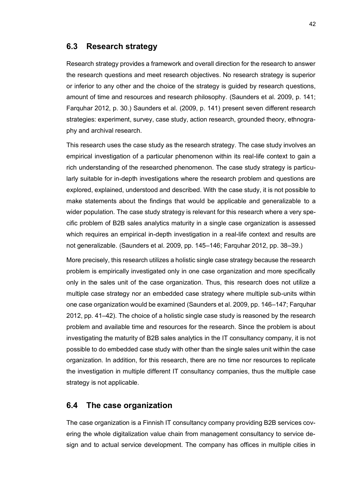#### **6.3 Research strategy**

Research strategy provides a framework and overall direction for the research to answer the research questions and meet research objectives. No research strategy is superior or inferior to any other and the choice of the strategy is guided by research questions, amount of time and resources and research philosophy. (Saunders et al. 2009, p. 141; Farquhar 2012, p. 30.) Saunders et al. (2009, p. 141) present seven different research strategies: experiment, survey, case study, action research, grounded theory, ethnography and archival research.

This research uses the case study as the research strategy. The case study involves an empirical investigation of a particular phenomenon within its real-life context to gain a rich understanding of the researched phenomenon. The case study strategy is particularly suitable for in-depth investigations where the research problem and questions are explored, explained, understood and described. With the case study, it is not possible to make statements about the findings that would be applicable and generalizable to a wider population. The case study strategy is relevant for this research where a very specific problem of B2B sales analytics maturity in a single case organization is assessed which requires an empirical in-depth investigation in a real-life context and results are not generalizable. (Saunders et al. 2009, pp. 145–146; Farquhar 2012, pp. 38–39.)

More precisely, this research utilizes a holistic single case strategy because the research problem is empirically investigated only in one case organization and more specifically only in the sales unit of the case organization. Thus, this research does not utilize a multiple case strategy nor an embedded case strategy where multiple sub-units within one case organization would be examined (Saunders et al. 2009, pp. 146–147; Farquhar 2012, pp. 41–42). The choice of a holistic single case study is reasoned by the research problem and available time and resources for the research. Since the problem is about investigating the maturity of B2B sales analytics in the IT consultancy company, it is not possible to do embedded case study with other than the single sales unit within the case organization. In addition, for this research, there are no time nor resources to replicate the investigation in multiple different IT consultancy companies, thus the multiple case strategy is not applicable.

#### **6.4 The case organization**

The case organization is a Finnish IT consultancy company providing B2B services covering the whole digitalization value chain from management consultancy to service design and to actual service development. The company has offices in multiple cities in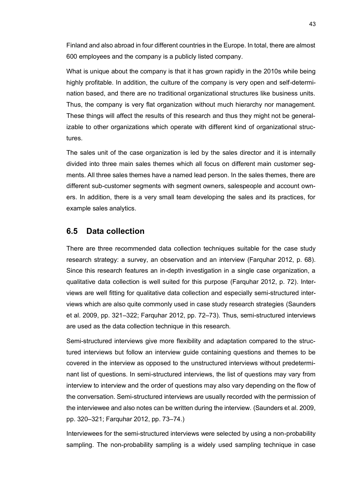Finland and also abroad in four different countries in the Europe. In total, there are almost 600 employees and the company is a publicly listed company.

What is unique about the company is that it has grown rapidly in the 2010s while being highly profitable. In addition, the culture of the company is very open and self-determination based, and there are no traditional organizational structures like business units. Thus, the company is very flat organization without much hierarchy nor management. These things will affect the results of this research and thus they might not be generalizable to other organizations which operate with different kind of organizational structures.

The sales unit of the case organization is led by the sales director and it is internally divided into three main sales themes which all focus on different main customer segments. All three sales themes have a named lead person. In the sales themes, there are different sub-customer segments with segment owners, salespeople and account owners. In addition, there is a very small team developing the sales and its practices, for example sales analytics.

#### **6.5 Data collection**

There are three recommended data collection techniques suitable for the case study research strategy: a survey, an observation and an interview (Farquhar 2012, p. 68). Since this research features an in-depth investigation in a single case organization, a qualitative data collection is well suited for this purpose (Farquhar 2012, p. 72). Interviews are well fitting for qualitative data collection and especially semi-structured interviews which are also quite commonly used in case study research strategies (Saunders et al. 2009, pp. 321–322; Farquhar 2012, pp. 72–73). Thus, semi-structured interviews are used as the data collection technique in this research.

Semi-structured interviews give more flexibility and adaptation compared to the structured interviews but follow an interview guide containing questions and themes to be covered in the interview as opposed to the unstructured interviews without predeterminant list of questions. In semi-structured interviews, the list of questions may vary from interview to interview and the order of questions may also vary depending on the flow of the conversation. Semi-structured interviews are usually recorded with the permission of the interviewee and also notes can be written during the interview. (Saunders et al. 2009, pp. 320–321; Farquhar 2012, pp. 73–74.)

Interviewees for the semi-structured interviews were selected by using a non-probability sampling. The non-probability sampling is a widely used sampling technique in case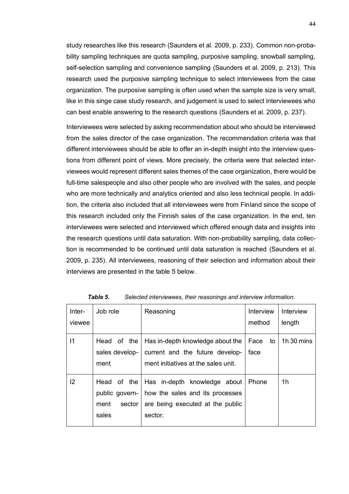study researches like this research (Saunders et al. 2009, p. 233). Common non-probability sampling techniques are quota sampling, purposive sampling, snowball sampling, self-selection sampling and convenience sampling (Saunders et al. 2009, p. 213). This research used the purposive sampling technique to select interviewees from the case organization. The purposive sampling is often used when the sample size is very small, like in this singe case study research, and judgement is used to select interviewees who can best enable answering to the research questions (Saunders et al. 2009, p. 237).

Interviewees were selected by asking recommendation about who should be interviewed from the sales director of the case organization. The recommendation criteria was that different interviewees should be able to offer an in-depth insight into the interview questions from different point of views. More precisely, the criteria were that selected interviewees would represent different sales themes of the case organization, there would be full-time salespeople and also other people who are involved with the sales, and people who are more technically and analytics oriented and also less technical people. In addition, the criteria also included that all interviewees were from Finland since the scope of this research included only the Finnish sales of the case organization. In the end, ten interviewees were selected and interviewed which offered enough data and insights into the research questions until data saturation. With non-probability sampling, data collection is recommended to be continued until data saturation is reached (Saunders et al. 2009, p. 235). All interviewees, reasoning of their selection and information about their interviews are presented in the table 5 below.

| Inter-<br>viewee | Job role                              | Reasoning                                                                                                                                         | Interview<br>method | Interview<br>length |
|------------------|---------------------------------------|---------------------------------------------------------------------------------------------------------------------------------------------------|---------------------|---------------------|
| 11               | Head of the<br>sales develop-<br>ment | Has in-depth knowledge about the<br>current and the future develop-<br>ment initiatives at the sales unit.                                        | Face to<br>face     | 1 $h$ 30 mins       |
| 12               | ment<br>sector<br>sales               | Head of the Has in-depth knowledge about Phone<br>public govern-   how the sales and its processes<br>are being executed at the public<br>sector. |                     | 1h                  |

*Table 5. Selected interviewees, their reasonings and interview information.*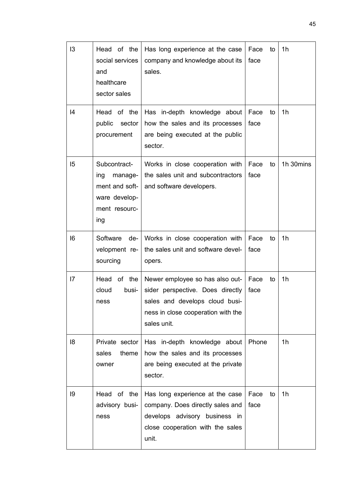| 13 | Head of the<br>social services<br>and<br>healthcare<br>sector sales                       | Has long experience at the case<br>company and knowledge about its<br>sales.                                                                               | Face<br>face | to | 1 <sub>h</sub> |
|----|-------------------------------------------------------------------------------------------|------------------------------------------------------------------------------------------------------------------------------------------------------------|--------------|----|----------------|
| 4  | of the<br>Head<br>sector<br>public<br>procurement                                         | Has in-depth knowledge about<br>how the sales and its processes<br>are being executed at the public<br>sector.                                             | Face<br>face | to | 1 <sub>h</sub> |
| 15 | Subcontract-<br>manage-<br>ing<br>ment and soft-<br>ware develop-<br>ment resourc-<br>ing | Works in close cooperation with<br>the sales unit and subcontractors<br>and software developers.                                                           | Face<br>face | to | 1h 30mins      |
| 6  | Software<br>de-<br>velopment re-<br>sourcing                                              | Works in close cooperation with<br>the sales unit and software devel-<br>opers.                                                                            | Face<br>face | to | 1 <sub>h</sub> |
| 17 | the<br>Head<br>οf<br>cloud<br>busi-<br>ness                                               | Newer employee so has also out-<br>sider perspective. Does directly<br>sales and develops cloud busi-<br>ness in close cooperation with the<br>sales unit. | Face<br>face | to | 1 <sub>h</sub> |
| 18 | Private sector  <br>sales<br>theme<br>owner                                               | Has in-depth knowledge about<br>how the sales and its processes<br>are being executed at the private<br>sector.                                            | Phone        |    | 1 <sub>h</sub> |
| 19 | Head of the<br>advisory busi-<br>ness                                                     | Has long experience at the case<br>company. Does directly sales and<br>develops advisory business in<br>close cooperation with the sales<br>unit.          | Face<br>face | to | 1 <sub>h</sub> |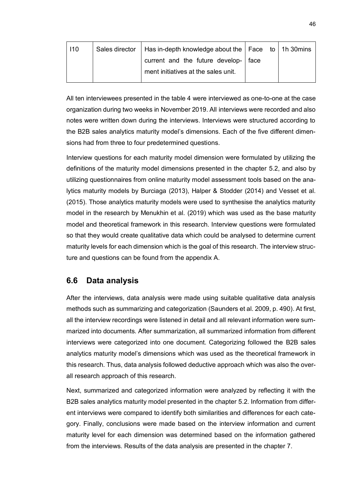| 110 | Sales director   Has in-depth knowledge about the   Face to   1h 30 mins      |  |  |
|-----|-------------------------------------------------------------------------------|--|--|
|     | current and the future develop-   face<br>ment initiatives at the sales unit. |  |  |
|     |                                                                               |  |  |

All ten interviewees presented in the table 4 were interviewed as one-to-one at the case organization during two weeks in November 2019. All interviews were recorded and also notes were written down during the interviews. Interviews were structured according to the B2B sales analytics maturity model's dimensions. Each of the five different dimensions had from three to four predetermined questions.

Interview questions for each maturity model dimension were formulated by utilizing the definitions of the maturity model dimensions presented in the chapter 5.2, and also by utilizing questionnaires from online maturity model assessment tools based on the analytics maturity models by Burciaga (2013), Halper & Stodder (2014) and Vesset et al. (2015). Those analytics maturity models were used to synthesise the analytics maturity model in the research by Menukhin et al. (2019) which was used as the base maturity model and theoretical framework in this research. Interview questions were formulated so that they would create qualitative data which could be analysed to determine current maturity levels for each dimension which is the goal of this research. The interview structure and questions can be found from the appendix A.

#### **6.6 Data analysis**

After the interviews, data analysis were made using suitable qualitative data analysis methods such as summarizing and categorization (Saunders et al. 2009, p. 490). At first, all the interview recordings were listened in detail and all relevant information were summarized into documents. After summarization, all summarized information from different interviews were categorized into one document. Categorizing followed the B2B sales analytics maturity model's dimensions which was used as the theoretical framework in this research. Thus, data analysis followed deductive approach which was also the overall research approach of this research.

Next, summarized and categorized information were analyzed by reflecting it with the B2B sales analytics maturity model presented in the chapter 5.2. Information from different interviews were compared to identify both similarities and differences for each category. Finally, conclusions were made based on the interview information and current maturity level for each dimension was determined based on the information gathered from the interviews. Results of the data analysis are presented in the chapter 7.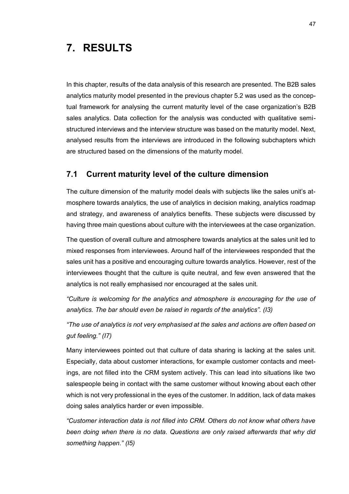# **7. RESULTS**

In this chapter, results of the data analysis of this research are presented. The B2B sales analytics maturity model presented in the previous chapter 5.2 was used as the conceptual framework for analysing the current maturity level of the case organization's B2B sales analytics. Data collection for the analysis was conducted with qualitative semistructured interviews and the interview structure was based on the maturity model. Next, analysed results from the interviews are introduced in the following subchapters which are structured based on the dimensions of the maturity model.

#### **7.1 Current maturity level of the culture dimension**

The culture dimension of the maturity model deals with subjects like the sales unit's atmosphere towards analytics, the use of analytics in decision making, analytics roadmap and strategy, and awareness of analytics benefits. These subjects were discussed by having three main questions about culture with the interviewees at the case organization.

The question of overall culture and atmosphere towards analytics at the sales unit led to mixed responses from interviewees. Around half of the interviewees responded that the sales unit has a positive and encouraging culture towards analytics. However, rest of the interviewees thought that the culture is quite neutral, and few even answered that the analytics is not really emphasised nor encouraged at the sales unit.

*"Culture is welcoming for the analytics and atmosphere is encouraging for the use of analytics. The bar should even be raised in regards of the analytics". (I3)*

*"The use of analytics is not very emphasised at the sales and actions are often based on gut feeling." (I7)*

Many interviewees pointed out that culture of data sharing is lacking at the sales unit. Especially, data about customer interactions, for example customer contacts and meetings, are not filled into the CRM system actively. This can lead into situations like two salespeople being in contact with the same customer without knowing about each other which is not very professional in the eyes of the customer. In addition, lack of data makes doing sales analytics harder or even impossible.

*"Customer interaction data is not filled into CRM. Others do not know what others have been doing when there is no data. Questions are only raised afterwards that why did something happen." (I5)*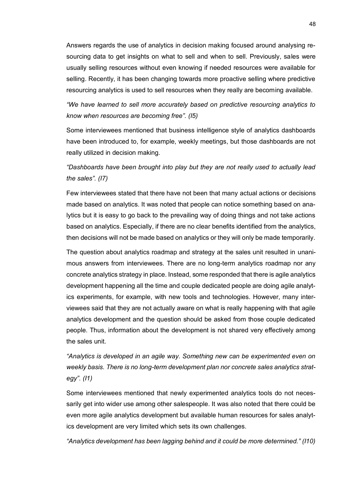Answers regards the use of analytics in decision making focused around analysing resourcing data to get insights on what to sell and when to sell. Previously, sales were usually selling resources without even knowing if needed resources were available for selling. Recently, it has been changing towards more proactive selling where predictive resourcing analytics is used to sell resources when they really are becoming available.

*"We have learned to sell more accurately based on predictive resourcing analytics to know when resources are becoming free". (I5)*

Some interviewees mentioned that business intelligence style of analytics dashboards have been introduced to, for example, weekly meetings, but those dashboards are not really utilized in decision making.

#### *"Dashboards have been brought into play but they are not really used to actually lead the sales". (I7)*

Few interviewees stated that there have not been that many actual actions or decisions made based on analytics. It was noted that people can notice something based on analytics but it is easy to go back to the prevailing way of doing things and not take actions based on analytics. Especially, if there are no clear benefits identified from the analytics, then decisions will not be made based on analytics or they will only be made temporarily.

The question about analytics roadmap and strategy at the sales unit resulted in unanimous answers from interviewees. There are no long-term analytics roadmap nor any concrete analytics strategy in place. Instead, some responded that there is agile analytics development happening all the time and couple dedicated people are doing agile analytics experiments, for example, with new tools and technologies. However, many interviewees said that they are not actually aware on what is really happening with that agile analytics development and the question should be asked from those couple dedicated people. Thus, information about the development is not shared very effectively among the sales unit.

*"Analytics is developed in an agile way. Something new can be experimented even on weekly basis. There is no long-term development plan nor concrete sales analytics strategy". (I1)*

Some interviewees mentioned that newly experimented analytics tools do not necessarily get into wider use among other salespeople. It was also noted that there could be even more agile analytics development but available human resources for sales analytics development are very limited which sets its own challenges.

*"Analytics development has been lagging behind and it could be more determined." (I10)*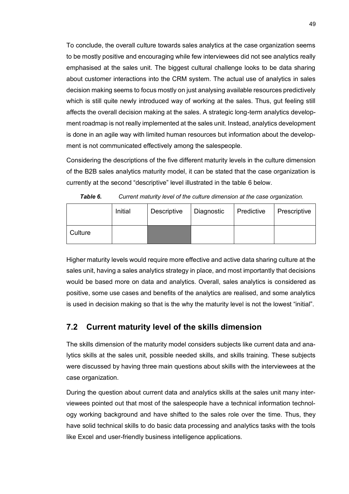To conclude, the overall culture towards sales analytics at the case organization seems to be mostly positive and encouraging while few interviewees did not see analytics really emphasised at the sales unit. The biggest cultural challenge looks to be data sharing about customer interactions into the CRM system. The actual use of analytics in sales decision making seems to focus mostly on just analysing available resources predictively which is still quite newly introduced way of working at the sales. Thus, gut feeling still affects the overall decision making at the sales. A strategic long-term analytics development roadmap is not really implemented at the sales unit. Instead, analytics development is done in an agile way with limited human resources but information about the development is not communicated effectively among the salespeople.

Considering the descriptions of the five different maturity levels in the culture dimension of the B2B sales analytics maturity model, it can be stated that the case organization is currently at the second "descriptive" level illustrated in the table 6 below.

|         | Initial | Descriptive | │ Diagnostic | Predictive | Prescriptive |
|---------|---------|-------------|--------------|------------|--------------|
| Culture |         |             |              |            |              |

*Table 6. Current maturity level of the culture dimension at the case organization.*

Higher maturity levels would require more effective and active data sharing culture at the sales unit, having a sales analytics strategy in place, and most importantly that decisions would be based more on data and analytics. Overall, sales analytics is considered as positive, some use cases and benefits of the analytics are realised, and some analytics is used in decision making so that is the why the maturity level is not the lowest "initial".

#### **7.2 Current maturity level of the skills dimension**

The skills dimension of the maturity model considers subjects like current data and analytics skills at the sales unit, possible needed skills, and skills training. These subjects were discussed by having three main questions about skills with the interviewees at the case organization.

During the question about current data and analytics skills at the sales unit many interviewees pointed out that most of the salespeople have a technical information technology working background and have shifted to the sales role over the time. Thus, they have solid technical skills to do basic data processing and analytics tasks with the tools like Excel and user-friendly business intelligence applications.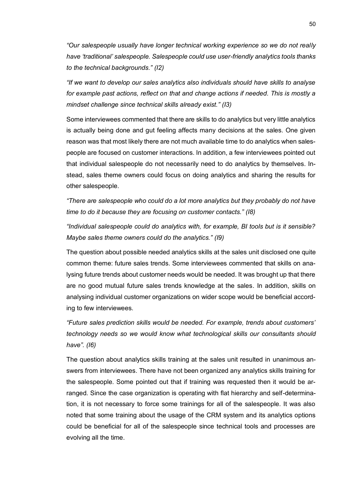*"Our salespeople usually have longer technical working experience so we do not really have 'traditional' salespeople. Salespeople could use user-friendly analytics tools thanks to the technical backgrounds." (I2)*

*"If we want to develop our sales analytics also individuals should have skills to analyse for example past actions, reflect on that and change actions if needed. This is mostly a mindset challenge since technical skills already exist." (I3)*

Some interviewees commented that there are skills to do analytics but very little analytics is actually being done and gut feeling affects many decisions at the sales. One given reason was that most likely there are not much available time to do analytics when salespeople are focused on customer interactions. In addition, a few interviewees pointed out that individual salespeople do not necessarily need to do analytics by themselves. Instead, sales theme owners could focus on doing analytics and sharing the results for other salespeople.

*"There are salespeople who could do a lot more analytics but they probably do not have time to do it because they are focusing on customer contacts." (I8)*

*"Individual salespeople could do analytics with, for example, BI tools but is it sensible? Maybe sales theme owners could do the analytics." (I9)*

The question about possible needed analytics skills at the sales unit disclosed one quite common theme: future sales trends. Some interviewees commented that skills on analysing future trends about customer needs would be needed. It was brought up that there are no good mutual future sales trends knowledge at the sales. In addition, skills on analysing individual customer organizations on wider scope would be beneficial according to few interviewees.

*"Future sales prediction skills would be needed. For example, trends about customers' technology needs so we would know what technological skills our consultants should have". (I6)*

The question about analytics skills training at the sales unit resulted in unanimous answers from interviewees. There have not been organized any analytics skills training for the salespeople. Some pointed out that if training was requested then it would be arranged. Since the case organization is operating with flat hierarchy and self-determination, it is not necessary to force some trainings for all of the salespeople. It was also noted that some training about the usage of the CRM system and its analytics options could be beneficial for all of the salespeople since technical tools and processes are evolving all the time.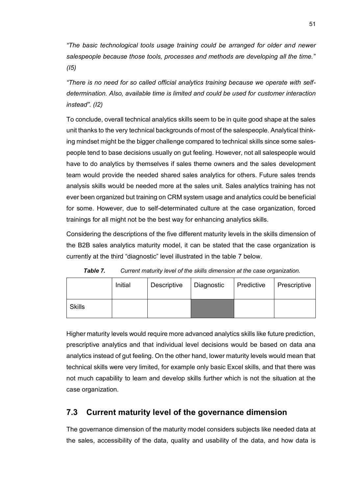*"The basic technological tools usage training could be arranged for older and newer salespeople because those tools, processes and methods are developing all the time." (I5)*

*"There is no need for so called official analytics training because we operate with selfdetermination. Also, available time is limited and could be used for customer interaction instead". (I2)*

To conclude, overall technical analytics skills seem to be in quite good shape at the sales unit thanks to the very technical backgrounds of most of the salespeople. Analytical thinking mindset might be the bigger challenge compared to technical skills since some salespeople tend to base decisions usually on gut feeling. However, not all salespeople would have to do analytics by themselves if sales theme owners and the sales development team would provide the needed shared sales analytics for others. Future sales trends analysis skills would be needed more at the sales unit. Sales analytics training has not ever been organized but training on CRM system usage and analytics could be beneficial for some. However, due to self-determinated culture at the case organization, forced trainings for all might not be the best way for enhancing analytics skills.

Considering the descriptions of the five different maturity levels in the skills dimension of the B2B sales analytics maturity model, it can be stated that the case organization is currently at the third "diagnostic" level illustrated in the table 7 below.

|        | Initial | Descriptive | Diagnostic | Predictive | Prescriptive |
|--------|---------|-------------|------------|------------|--------------|
| Skills |         |             |            |            |              |

*Table 7. Current maturity level of the skills dimension at the case organization.*

Higher maturity levels would require more advanced analytics skills like future prediction, prescriptive analytics and that individual level decisions would be based on data ana analytics instead of gut feeling. On the other hand, lower maturity levels would mean that technical skills were very limited, for example only basic Excel skills, and that there was not much capability to learn and develop skills further which is not the situation at the case organization.

### **7.3 Current maturity level of the governance dimension**

The governance dimension of the maturity model considers subjects like needed data at the sales, accessibility of the data, quality and usability of the data, and how data is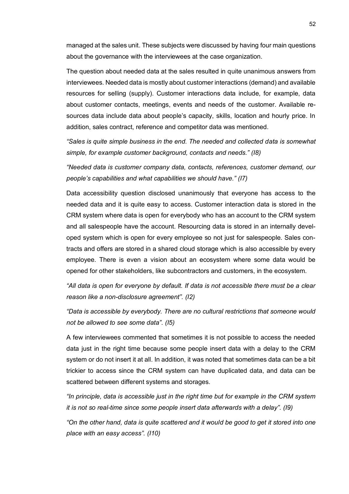managed at the sales unit. These subjects were discussed by having four main questions about the governance with the interviewees at the case organization.

The question about needed data at the sales resulted in quite unanimous answers from interviewees. Needed data is mostly about customer interactions (demand) and available resources for selling (supply). Customer interactions data include, for example, data about customer contacts, meetings, events and needs of the customer. Available resources data include data about people's capacity, skills, location and hourly price. In addition, sales contract, reference and competitor data was mentioned.

*"Sales is quite simple business in the end. The needed and collected data is somewhat simple, for example customer background, contacts and needs." (I8)*

*"Needed data is customer company data, contacts, references, customer demand, our people's capabilities and what capabilities we should have." (I7)*

Data accessibility question disclosed unanimously that everyone has access to the needed data and it is quite easy to access. Customer interaction data is stored in the CRM system where data is open for everybody who has an account to the CRM system and all salespeople have the account. Resourcing data is stored in an internally developed system which is open for every employee so not just for salespeople. Sales contracts and offers are stored in a shared cloud storage which is also accessible by every employee. There is even a vision about an ecosystem where some data would be opened for other stakeholders, like subcontractors and customers, in the ecosystem.

*"All data is open for everyone by default. If data is not accessible there must be a clear reason like a non-disclosure agreement". (I2)*

*"Data is accessible by everybody. There are no cultural restrictions that someone would not be allowed to see some data". (I5)*

A few interviewees commented that sometimes it is not possible to access the needed data just in the right time because some people insert data with a delay to the CRM system or do not insert it at all. In addition, it was noted that sometimes data can be a bit trickier to access since the CRM system can have duplicated data, and data can be scattered between different systems and storages.

*"In principle, data is accessible just in the right time but for example in the CRM system it is not so real-time since some people insert data afterwards with a delay". (I9)*

*"On the other hand, data is quite scattered and it would be good to get it stored into one place with an easy access". (I10)*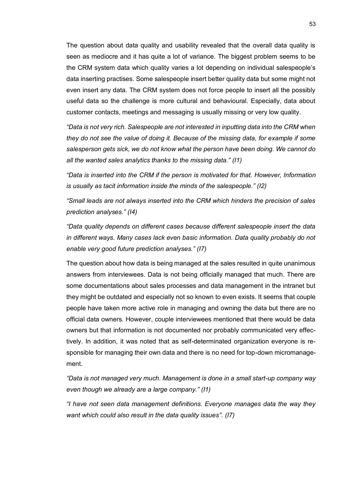The question about data quality and usability revealed that the overall data quality is seen as mediocre and it has quite a lot of variance. The biggest problem seems to be the CRM system data which quality varies a lot depending on individual salespeople's data inserting practises. Some salespeople insert better quality data but some might not even insert any data. The CRM system does not force people to insert all the possibly useful data so the challenge is more cultural and behavioural. Especially, data about customer contacts, meetings and messaging is usually missing or very low quality.

*"Data is not very rich. Salespeople are not interested in inputting data into the CRM when they do not see the value of doing it. Because of the missing data, for example if some salesperson gets sick, we do not know what the person have been doing. We cannot do all the wanted sales analytics thanks to the missing data." (I1)*

*"Data is inserted into the CRM if the person is motivated for that. However, Information is usually as tacit information inside the minds of the salespeople." (I2)*

*"Small leads are not always inserted into the CRM which hinders the precision of sales prediction analyses." (I4)*

*"Data quality depends on different cases because different salespeople insert the data in different ways. Many cases lack even basic information. Data quality probably do not enable very good future prediction analyses." (I7)*

The question about how data is being managed at the sales resulted in quite unanimous answers from interviewees. Data is not being officially managed that much. There are some documentations about sales processes and data management in the intranet but they might be outdated and especially not so known to even exists. It seems that couple people have taken more active role in managing and owning the data but there are no official data owners. However, couple interviewees mentioned that there would be data owners but that information is not documented nor probably communicated very effectively. In addition, it was noted that as self-determinated organization everyone is responsible for managing their own data and there is no need for top-down micromanagement.

*"Data is not managed very much. Management is done in a small start-up company way even though we already are a large company." (I1)*

*"I have not seen data management definitions. Everyone manages data the way they want which could also result in the data quality issues". (I7)*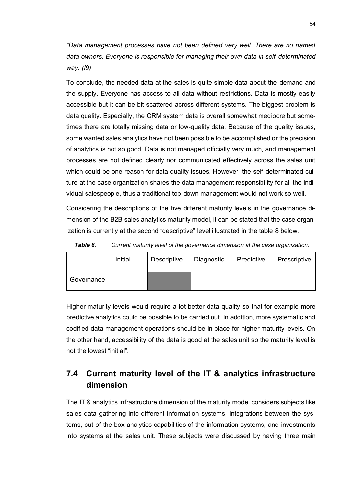*"Data management processes have not been defined very well. There are no named data owners. Everyone is responsible for managing their own data in self-determinated way. (I9)*

To conclude, the needed data at the sales is quite simple data about the demand and the supply. Everyone has access to all data without restrictions. Data is mostly easily accessible but it can be bit scattered across different systems. The biggest problem is data quality. Especially, the CRM system data is overall somewhat mediocre but sometimes there are totally missing data or low-quality data. Because of the quality issues, some wanted sales analytics have not been possible to be accomplished or the precision of analytics is not so good. Data is not managed officially very much, and management processes are not defined clearly nor communicated effectively across the sales unit which could be one reason for data quality issues. However, the self-determinated culture at the case organization shares the data management responsibility for all the individual salespeople, thus a traditional top-down management would not work so well.

Considering the descriptions of the five different maturity levels in the governance dimension of the B2B sales analytics maturity model, it can be stated that the case organization is currently at the second "descriptive" level illustrated in the table 8 below.

| Table 8. |         | Current maturity level of the governance dimension at the case organization. |            |                         |  |
|----------|---------|------------------------------------------------------------------------------|------------|-------------------------|--|
|          | Initial | Descriptive                                                                  | Diagnostic | Predictive Prescriptive |  |

Higher maturity levels would require a lot better data quality so that for example more predictive analytics could be possible to be carried out. In addition, more systematic and codified data management operations should be in place for higher maturity levels. On the other hand, accessibility of the data is good at the sales unit so the maturity level is

#### not the lowest "initial".

**Governance** 

## **7.4 Current maturity level of the IT & analytics infrastructure dimension**

The IT & analytics infrastructure dimension of the maturity model considers subjects like sales data gathering into different information systems, integrations between the systems, out of the box analytics capabilities of the information systems, and investments into systems at the sales unit. These subjects were discussed by having three main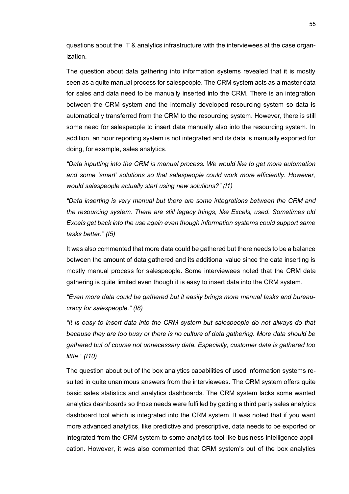questions about the IT & analytics infrastructure with the interviewees at the case organization.

The question about data gathering into information systems revealed that it is mostly seen as a quite manual process for salespeople. The CRM system acts as a master data for sales and data need to be manually inserted into the CRM. There is an integration between the CRM system and the internally developed resourcing system so data is automatically transferred from the CRM to the resourcing system. However, there is still some need for salespeople to insert data manually also into the resourcing system. In addition, an hour reporting system is not integrated and its data is manually exported for doing, for example, sales analytics.

*"Data inputting into the CRM is manual process. We would like to get more automation and some 'smart' solutions so that salespeople could work more efficiently. However, would salespeople actually start using new solutions?" (I1)*

*"Data inserting is very manual but there are some integrations between the CRM and the resourcing system. There are still legacy things, like Excels, used. Sometimes old Excels get back into the use again even though information systems could support same tasks better." (I5)*

It was also commented that more data could be gathered but there needs to be a balance between the amount of data gathered and its additional value since the data inserting is mostly manual process for salespeople. Some interviewees noted that the CRM data gathering is quite limited even though it is easy to insert data into the CRM system.

*"Even more data could be gathered but it easily brings more manual tasks and bureaucracy for salespeople." (I8)*

*"It is easy to insert data into the CRM system but salespeople do not always do that because they are too busy or there is no culture of data gathering. More data should be gathered but of course not unnecessary data. Especially, customer data is gathered too little." (I10)*

The question about out of the box analytics capabilities of used information systems resulted in quite unanimous answers from the interviewees. The CRM system offers quite basic sales statistics and analytics dashboards. The CRM system lacks some wanted analytics dashboards so those needs were fulfilled by getting a third party sales analytics dashboard tool which is integrated into the CRM system. It was noted that if you want more advanced analytics, like predictive and prescriptive, data needs to be exported or integrated from the CRM system to some analytics tool like business intelligence application. However, it was also commented that CRM system's out of the box analytics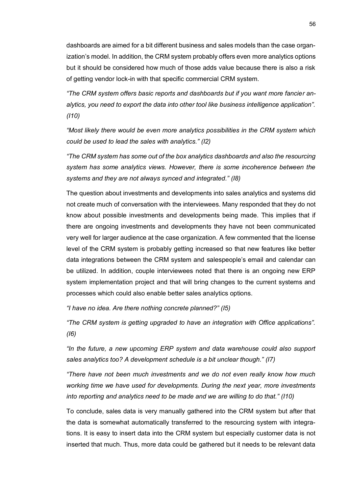dashboards are aimed for a bit different business and sales models than the case organization's model. In addition, the CRM system probably offers even more analytics options but it should be considered how much of those adds value because there is also a risk of getting vendor lock-in with that specific commercial CRM system.

*"The CRM system offers basic reports and dashboards but if you want more fancier analytics, you need to export the data into other tool like business intelligence application". (I10)*

*"Most likely there would be even more analytics possibilities in the CRM system which could be used to lead the sales with analytics." (I2)*

*"The CRM system has some out of the box analytics dashboards and also the resourcing system has some analytics views. However, there is some incoherence between the systems and they are not always synced and integrated." (I8)*

The question about investments and developments into sales analytics and systems did not create much of conversation with the interviewees. Many responded that they do not know about possible investments and developments being made. This implies that if there are ongoing investments and developments they have not been communicated very well for larger audience at the case organization. A few commented that the license level of the CRM system is probably getting increased so that new features like better data integrations between the CRM system and salespeople's email and calendar can be utilized. In addition, couple interviewees noted that there is an ongoing new ERP system implementation project and that will bring changes to the current systems and processes which could also enable better sales analytics options.

*"I have no idea. Are there nothing concrete planned?" (I5)*

*"The CRM system is getting upgraded to have an integration with Office applications". (I6)*

*"In the future, a new upcoming ERP system and data warehouse could also support sales analytics too? A development schedule is a bit unclear though." (I7)*

*"There have not been much investments and we do not even really know how much working time we have used for developments. During the next year, more investments into reporting and analytics need to be made and we are willing to do that." (I10)*

To conclude, sales data is very manually gathered into the CRM system but after that the data is somewhat automatically transferred to the resourcing system with integrations. It is easy to insert data into the CRM system but especially customer data is not inserted that much. Thus, more data could be gathered but it needs to be relevant data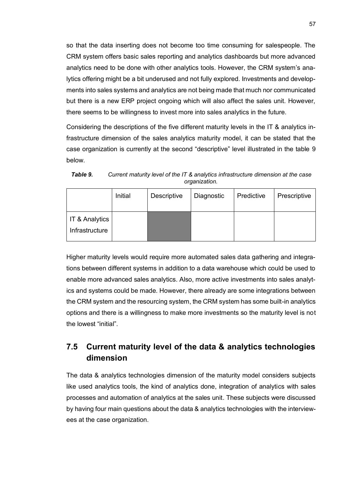so that the data inserting does not become too time consuming for salespeople. The CRM system offers basic sales reporting and analytics dashboards but more advanced analytics need to be done with other analytics tools. However, the CRM system's analytics offering might be a bit underused and not fully explored. Investments and developments into sales systems and analytics are not being made that much nor communicated but there is a new ERP project ongoing which will also affect the sales unit. However, there seems to be willingness to invest more into sales analytics in the future.

Considering the descriptions of the five different maturity levels in the IT & analytics infrastructure dimension of the sales analytics maturity model, it can be stated that the case organization is currently at the second "descriptive" level illustrated in the table 9 below.

|                                             | Initial | Descriptive | Diagnostic | Predictive | Prescriptive |
|---------------------------------------------|---------|-------------|------------|------------|--------------|
| <b>IT &amp; Analytics</b><br>Infrastructure |         |             |            |            |              |

*Table 9. Current maturity level of the IT & analytics infrastructure dimension at the case organization.*

Higher maturity levels would require more automated sales data gathering and integrations between different systems in addition to a data warehouse which could be used to enable more advanced sales analytics. Also, more active investments into sales analytics and systems could be made. However, there already are some integrations between the CRM system and the resourcing system, the CRM system has some built-in analytics options and there is a willingness to make more investments so the maturity level is not the lowest "initial".

## **7.5 Current maturity level of the data & analytics technologies dimension**

The data & analytics technologies dimension of the maturity model considers subjects like used analytics tools, the kind of analytics done, integration of analytics with sales processes and automation of analytics at the sales unit. These subjects were discussed by having four main questions about the data & analytics technologies with the interviewees at the case organization.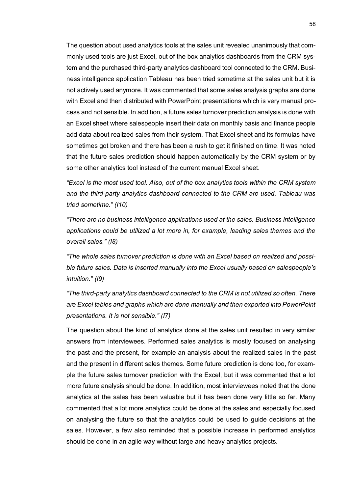The question about used analytics tools at the sales unit revealed unanimously that commonly used tools are just Excel, out of the box analytics dashboards from the CRM system and the purchased third-party analytics dashboard tool connected to the CRM. Business intelligence application Tableau has been tried sometime at the sales unit but it is not actively used anymore. It was commented that some sales analysis graphs are done with Excel and then distributed with PowerPoint presentations which is very manual process and not sensible. In addition, a future sales turnover prediction analysis is done with an Excel sheet where salespeople insert their data on monthly basis and finance people add data about realized sales from their system. That Excel sheet and its formulas have sometimes got broken and there has been a rush to get it finished on time. It was noted that the future sales prediction should happen automatically by the CRM system or by some other analytics tool instead of the current manual Excel sheet.

*"Excel is the most used tool. Also, out of the box analytics tools within the CRM system and the third-party analytics dashboard connected to the CRM are used. Tableau was tried sometime." (I10)*

*"There are no business intelligence applications used at the sales. Business intelligence applications could be utilized a lot more in, for example, leading sales themes and the overall sales." (I8)*

*"The whole sales turnover prediction is done with an Excel based on realized and possible future sales. Data is inserted manually into the Excel usually based on salespeople's intuition." (I9)*

*"The third-party analytics dashboard connected to the CRM is not utilized so often. There are Excel tables and graphs which are done manually and then exported into PowerPoint presentations. It is not sensible." (I7)*

The question about the kind of analytics done at the sales unit resulted in very similar answers from interviewees. Performed sales analytics is mostly focused on analysing the past and the present, for example an analysis about the realized sales in the past and the present in different sales themes. Some future prediction is done too, for example the future sales turnover prediction with the Excel, but it was commented that a lot more future analysis should be done. In addition, most interviewees noted that the done analytics at the sales has been valuable but it has been done very little so far. Many commented that a lot more analytics could be done at the sales and especially focused on analysing the future so that the analytics could be used to guide decisions at the sales. However, a few also reminded that a possible increase in performed analytics should be done in an agile way without large and heavy analytics projects.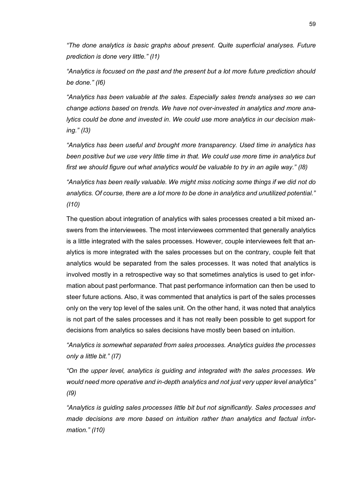*"The done analytics is basic graphs about present. Quite superficial analyses. Future prediction is done very little." (I1)*

*"Analytics is focused on the past and the present but a lot more future prediction should be done." (I6)*

*"Analytics has been valuable at the sales. Especially sales trends analyses so we can change actions based on trends. We have not over-invested in analytics and more analytics could be done and invested in. We could use more analytics in our decision making." (I3)*

*"Analytics has been useful and brought more transparency. Used time in analytics has been positive but we use very little time in that. We could use more time in analytics but first we should figure out what analytics would be valuable to try in an agile way." (I8)*

*"Analytics has been really valuable. We might miss noticing some things if we did not do analytics. Of course, there are a lot more to be done in analytics and unutilized potential." (I10)*

The question about integration of analytics with sales processes created a bit mixed answers from the interviewees. The most interviewees commented that generally analytics is a little integrated with the sales processes. However, couple interviewees felt that analytics is more integrated with the sales processes but on the contrary, couple felt that analytics would be separated from the sales processes. It was noted that analytics is involved mostly in a retrospective way so that sometimes analytics is used to get information about past performance. That past performance information can then be used to steer future actions. Also, it was commented that analytics is part of the sales processes only on the very top level of the sales unit. On the other hand, it was noted that analytics is not part of the sales processes and it has not really been possible to get support for decisions from analytics so sales decisions have mostly been based on intuition.

*"Analytics is somewhat separated from sales processes. Analytics guides the processes only a little bit." (I7)*

*"On the upper level, analytics is guiding and integrated with the sales processes. We would need more operative and in-depth analytics and not just very upper level analytics" (I9)*

*"Analytics is guiding sales processes little bit but not significantly. Sales processes and made decisions are more based on intuition rather than analytics and factual information." (I10)*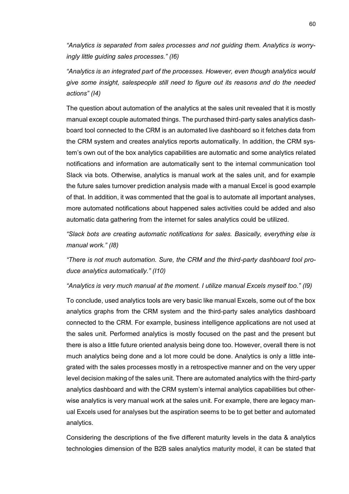*"Analytics is separated from sales processes and not guiding them. Analytics is worryingly little guiding sales processes." (I6)*

*"Analytics is an integrated part of the processes. However, even though analytics would give some insight, salespeople still need to figure out its reasons and do the needed actions" (I4)*

The question about automation of the analytics at the sales unit revealed that it is mostly manual except couple automated things. The purchased third-party sales analytics dashboard tool connected to the CRM is an automated live dashboard so it fetches data from the CRM system and creates analytics reports automatically. In addition, the CRM system's own out of the box analytics capabilities are automatic and some analytics related notifications and information are automatically sent to the internal communication tool Slack via bots. Otherwise, analytics is manual work at the sales unit, and for example the future sales turnover prediction analysis made with a manual Excel is good example of that. In addition, it was commented that the goal is to automate all important analyses, more automated notifications about happened sales activities could be added and also automatic data gathering from the internet for sales analytics could be utilized.

*"Slack bots are creating automatic notifications for sales. Basically, everything else is manual work." (I8)*

*"There is not much automation. Sure, the CRM and the third-party dashboard tool produce analytics automatically." (I10)*

*"Analytics is very much manual at the moment. I utilize manual Excels myself too." (I9)*

To conclude, used analytics tools are very basic like manual Excels, some out of the box analytics graphs from the CRM system and the third-party sales analytics dashboard connected to the CRM. For example, business intelligence applications are not used at the sales unit. Performed analytics is mostly focused on the past and the present but there is also a little future oriented analysis being done too. However, overall there is not much analytics being done and a lot more could be done. Analytics is only a little integrated with the sales processes mostly in a retrospective manner and on the very upper level decision making of the sales unit. There are automated analytics with the third-party analytics dashboard and with the CRM system's internal analytics capabilities but otherwise analytics is very manual work at the sales unit. For example, there are legacy manual Excels used for analyses but the aspiration seems to be to get better and automated analytics.

Considering the descriptions of the five different maturity levels in the data & analytics technologies dimension of the B2B sales analytics maturity model, it can be stated that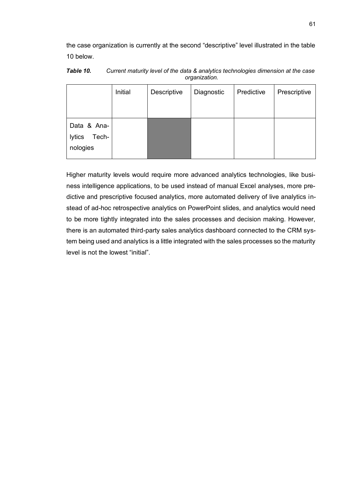the case organization is currently at the second "descriptive" level illustrated in the table 10 below.

|                                            | Initial | Descriptive | Diagnostic | Predictive | Prescriptive |
|--------------------------------------------|---------|-------------|------------|------------|--------------|
| Data & Ana-<br>Tech-<br>lytics<br>nologies |         |             |            |            |              |

*Table 10. Current maturity level of the data & analytics technologies dimension at the case organization.*

Higher maturity levels would require more advanced analytics technologies, like business intelligence applications, to be used instead of manual Excel analyses, more predictive and prescriptive focused analytics, more automated delivery of live analytics instead of ad-hoc retrospective analytics on PowerPoint slides, and analytics would need to be more tightly integrated into the sales processes and decision making. However, there is an automated third-party sales analytics dashboard connected to the CRM system being used and analytics is a little integrated with the sales processes so the maturity level is not the lowest "initial".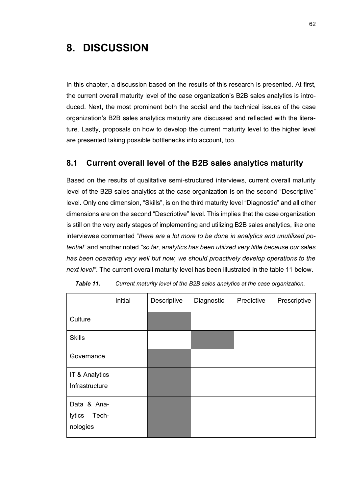## **8. DISCUSSION**

In this chapter, a discussion based on the results of this research is presented. At first, the current overall maturity level of the case organization's B2B sales analytics is introduced. Next, the most prominent both the social and the technical issues of the case organization's B2B sales analytics maturity are discussed and reflected with the literature. Lastly, proposals on how to develop the current maturity level to the higher level are presented taking possible bottlenecks into account, too.

### **8.1 Current overall level of the B2B sales analytics maturity**

Based on the results of qualitative semi-structured interviews, current overall maturity level of the B2B sales analytics at the case organization is on the second "Descriptive" level. Only one dimension, "Skills", is on the third maturity level "Diagnostic" and all other dimensions are on the second "Descriptive" level. This implies that the case organization is still on the very early stages of implementing and utilizing B2B sales analytics, like one interviewee commented "*there are a lot more to be done in analytics and unutilized potential"* and another noted *"so far, analytics has been utilized very little because our sales has been operating very well but now, we should proactively develop operations to the next level"*. The current overall maturity level has been illustrated in the table 11 below.

|                                            | Initial | Descriptive | Diagnostic | Predictive | Prescriptive |
|--------------------------------------------|---------|-------------|------------|------------|--------------|
| Culture                                    |         |             |            |            |              |
| <b>Skills</b>                              |         |             |            |            |              |
| Governance                                 |         |             |            |            |              |
| IT & Analytics<br>Infrastructure           |         |             |            |            |              |
| Data & Ana-<br>lytics<br>Tech-<br>nologies |         |             |            |            |              |

*Table 11. Current maturity level of the B2B sales analytics at the case organization.*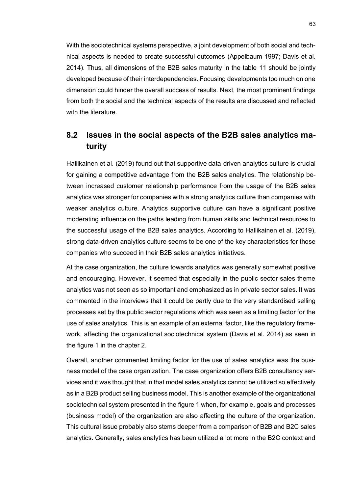With the sociotechnical systems perspective, a joint development of both social and technical aspects is needed to create successful outcomes (Appelbaum 1997; Davis et al. 2014). Thus, all dimensions of the B2B sales maturity in the table 11 should be jointly developed because of their interdependencies. Focusing developments too much on one dimension could hinder the overall success of results. Next, the most prominent findings from both the social and the technical aspects of the results are discussed and reflected with the literature.

## **8.2 Issues in the social aspects of the B2B sales analytics maturity**

Hallikainen et al. (2019) found out that supportive data-driven analytics culture is crucial for gaining a competitive advantage from the B2B sales analytics. The relationship between increased customer relationship performance from the usage of the B2B sales analytics was stronger for companies with a strong analytics culture than companies with weaker analytics culture. Analytics supportive culture can have a significant positive moderating influence on the paths leading from human skills and technical resources to the successful usage of the B2B sales analytics. According to Hallikainen et al. (2019), strong data-driven analytics culture seems to be one of the key characteristics for those companies who succeed in their B2B sales analytics initiatives.

At the case organization, the culture towards analytics was generally somewhat positive and encouraging. However, it seemed that especially in the public sector sales theme analytics was not seen as so important and emphasized as in private sector sales. It was commented in the interviews that it could be partly due to the very standardised selling processes set by the public sector regulations which was seen as a limiting factor for the use of sales analytics. This is an example of an external factor, like the regulatory framework, affecting the organizational sociotechnical system (Davis et al. 2014) as seen in the figure 1 in the chapter 2.

Overall, another commented limiting factor for the use of sales analytics was the business model of the case organization. The case organization offers B2B consultancy services and it was thought that in that model sales analytics cannot be utilized so effectively as in a B2B product selling business model. This is another example of the organizational sociotechnical system presented in the figure 1 when, for example, goals and processes (business model) of the organization are also affecting the culture of the organization. This cultural issue probably also stems deeper from a comparison of B2B and B2C sales analytics. Generally, sales analytics has been utilized a lot more in the B2C context and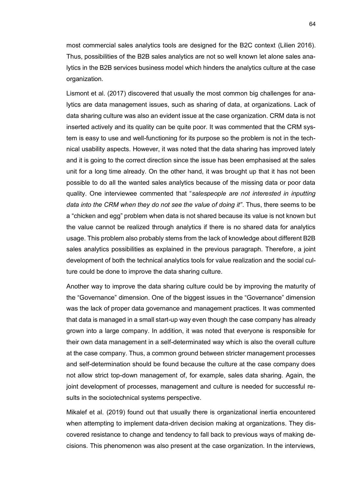most commercial sales analytics tools are designed for the B2C context (Lilien 2016). Thus, possibilities of the B2B sales analytics are not so well known let alone sales analytics in the B2B services business model which hinders the analytics culture at the case organization.

Lismont et al. (2017) discovered that usually the most common big challenges for analytics are data management issues, such as sharing of data, at organizations. Lack of data sharing culture was also an evident issue at the case organization. CRM data is not inserted actively and its quality can be quite poor. It was commented that the CRM system is easy to use and well-functioning for its purpose so the problem is not in the technical usability aspects. However, it was noted that the data sharing has improved lately and it is going to the correct direction since the issue has been emphasised at the sales unit for a long time already. On the other hand, it was brought up that it has not been possible to do all the wanted sales analytics because of the missing data or poor data quality. One interviewee commented that "*salespeople are not interested in inputting data into the CRM when they do not see the value of doing it"*. Thus, there seems to be a "chicken and egg" problem when data is not shared because its value is not known but the value cannot be realized through analytics if there is no shared data for analytics usage. This problem also probably stems from the lack of knowledge about different B2B sales analytics possibilities as explained in the previous paragraph. Therefore, a joint development of both the technical analytics tools for value realization and the social culture could be done to improve the data sharing culture.

Another way to improve the data sharing culture could be by improving the maturity of the "Governance" dimension. One of the biggest issues in the "Governance" dimension was the lack of proper data governance and management practices. It was commented that data is managed in a small start-up way even though the case company has already grown into a large company. In addition, it was noted that everyone is responsible for their own data management in a self-determinated way which is also the overall culture at the case company. Thus, a common ground between stricter management processes and self-determination should be found because the culture at the case company does not allow strict top-down management of, for example, sales data sharing. Again, the joint development of processes, management and culture is needed for successful results in the sociotechnical systems perspective.

Mikalef et al. (2019) found out that usually there is organizational inertia encountered when attempting to implement data-driven decision making at organizations. They discovered resistance to change and tendency to fall back to previous ways of making decisions. This phenomenon was also present at the case organization. In the interviews,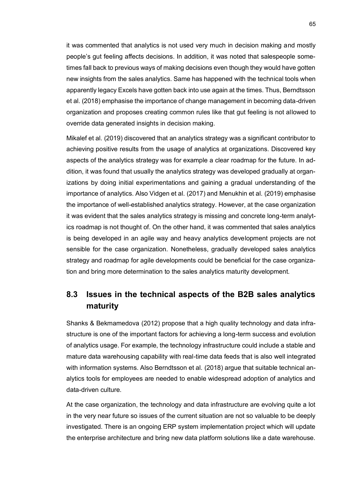it was commented that analytics is not used very much in decision making and mostly people's gut feeling affects decisions. In addition, it was noted that salespeople sometimes fall back to previous ways of making decisions even though they would have gotten new insights from the sales analytics. Same has happened with the technical tools when apparently legacy Excels have gotten back into use again at the times. Thus, Berndtsson et al. (2018) emphasise the importance of change management in becoming data-driven organization and proposes creating common rules like that gut feeling is not allowed to override data generated insights in decision making.

Mikalef et al. (2019) discovered that an analytics strategy was a significant contributor to achieving positive results from the usage of analytics at organizations. Discovered key aspects of the analytics strategy was for example a clear roadmap for the future. In addition, it was found that usually the analytics strategy was developed gradually at organizations by doing initial experimentations and gaining a gradual understanding of the importance of analytics. Also Vidgen et al. (2017) and Menukhin et al. (2019) emphasise the importance of well-established analytics strategy. However, at the case organization it was evident that the sales analytics strategy is missing and concrete long-term analytics roadmap is not thought of. On the other hand, it was commented that sales analytics is being developed in an agile way and heavy analytics development projects are not sensible for the case organization. Nonetheless, gradually developed sales analytics strategy and roadmap for agile developments could be beneficial for the case organization and bring more determination to the sales analytics maturity development.

## **8.3 Issues in the technical aspects of the B2B sales analytics maturity**

Shanks & Bekmamedova (2012) propose that a high quality technology and data infrastructure is one of the important factors for achieving a long-term success and evolution of analytics usage. For example, the technology infrastructure could include a stable and mature data warehousing capability with real-time data feeds that is also well integrated with information systems. Also Berndtsson et al. (2018) argue that suitable technical analytics tools for employees are needed to enable widespread adoption of analytics and data-driven culture.

At the case organization, the technology and data infrastructure are evolving quite a lot in the very near future so issues of the current situation are not so valuable to be deeply investigated. There is an ongoing ERP system implementation project which will update the enterprise architecture and bring new data platform solutions like a date warehouse.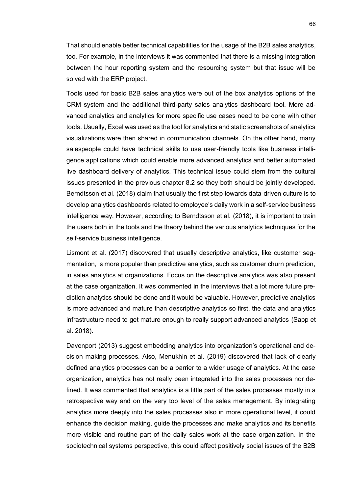That should enable better technical capabilities for the usage of the B2B sales analytics, too. For example, in the interviews it was commented that there is a missing integration between the hour reporting system and the resourcing system but that issue will be solved with the ERP project.

Tools used for basic B2B sales analytics were out of the box analytics options of the CRM system and the additional third-party sales analytics dashboard tool. More advanced analytics and analytics for more specific use cases need to be done with other tools. Usually, Excel was used as the tool for analytics and static screenshots of analytics visualizations were then shared in communication channels. On the other hand, many salespeople could have technical skills to use user-friendly tools like business intelligence applications which could enable more advanced analytics and better automated live dashboard delivery of analytics. This technical issue could stem from the cultural issues presented in the previous chapter 8.2 so they both should be jointly developed. Berndtsson et al. (2018) claim that usually the first step towards data-driven culture is to develop analytics dashboards related to employee's daily work in a self-service business intelligence way. However, according to Berndtsson et al. (2018), it is important to train the users both in the tools and the theory behind the various analytics techniques for the self-service business intelligence.

Lismont et al. (2017) discovered that usually descriptive analytics, like customer segmentation, is more popular than predictive analytics, such as customer churn prediction, in sales analytics at organizations. Focus on the descriptive analytics was also present at the case organization. It was commented in the interviews that a lot more future prediction analytics should be done and it would be valuable. However, predictive analytics is more advanced and mature than descriptive analytics so first, the data and analytics infrastructure need to get mature enough to really support advanced analytics (Sapp et al. 2018).

Davenport (2013) suggest embedding analytics into organization's operational and decision making processes. Also, Menukhin et al. (2019) discovered that lack of clearly defined analytics processes can be a barrier to a wider usage of analytics. At the case organization, analytics has not really been integrated into the sales processes nor defined. It was commented that analytics is a little part of the sales processes mostly in a retrospective way and on the very top level of the sales management. By integrating analytics more deeply into the sales processes also in more operational level, it could enhance the decision making, guide the processes and make analytics and its benefits more visible and routine part of the daily sales work at the case organization. In the sociotechnical systems perspective, this could affect positively social issues of the B2B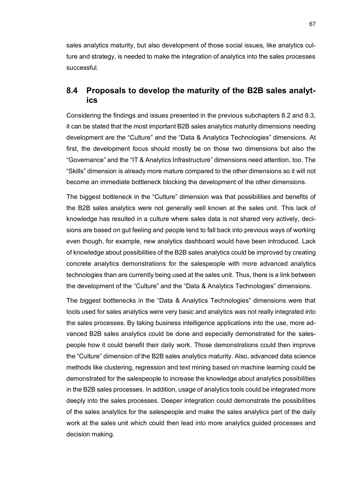sales analytics maturity, but also development of those social issues, like analytics culture and strategy, is needed to make the integration of analytics into the sales processes successful.

## **8.4 Proposals to develop the maturity of the B2B sales analytics**

Considering the findings and issues presented in the previous subchapters 8.2 and 8.3, it can be stated that the most important B2B sales analytics maturity dimensions needing development are the "Culture" and the "Data & Analytics Technologies" dimensions. At first, the development focus should mostly be on those two dimensions but also the "Governance" and the "IT & Analytics Infrastructure" dimensions need attention, too. The "Skills" dimension is already more mature compared to the other dimensions so it will not become an immediate bottleneck blocking the development of the other dimensions.

The biggest bottleneck in the "Culture" dimension was that possibilities and benefits of the B2B sales analytics were not generally well known at the sales unit. This lack of knowledge has resulted in a culture where sales data is not shared very actively, decisions are based on gut feeling and people tend to fall back into previous ways of working even though, for example, new analytics dashboard would have been introduced. Lack of knowledge about possibilities of the B2B sales analytics could be improved by creating concrete analytics demonstrations for the salespeople with more advanced analytics technologies than are currently being used at the sales unit. Thus, there is a link between the development of the "Culture" and the "Data & Analytics Technologies" dimensions.

The biggest bottlenecks in the "Data & Analytics Technologies" dimensions were that tools used for sales analytics were very basic and analytics was not really integrated into the sales processes. By taking business intelligence applications into the use, more advanced B2B sales analytics could be done and especially demonstrated for the salespeople how it could benefit their daily work. Those demonstrations could then improve the "Culture" dimension of the B2B sales analytics maturity. Also, advanced data science methods like clustering, regression and text mining based on machine learning could be demonstrated for the salespeople to increase the knowledge about analytics possibilities in the B2B sales processes. In addition, usage of analytics tools could be integrated more deeply into the sales processes. Deeper integration could demonstrate the possibilities of the sales analytics for the salespeople and make the sales analytics part of the daily work at the sales unit which could then lead into more analytics guided processes and decision making.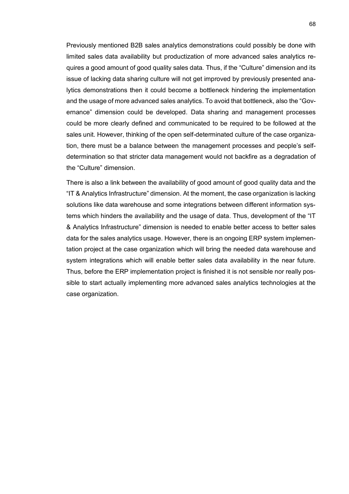Previously mentioned B2B sales analytics demonstrations could possibly be done with limited sales data availability but productization of more advanced sales analytics requires a good amount of good quality sales data. Thus, if the "Culture" dimension and its issue of lacking data sharing culture will not get improved by previously presented analytics demonstrations then it could become a bottleneck hindering the implementation and the usage of more advanced sales analytics. To avoid that bottleneck, also the "Governance" dimension could be developed. Data sharing and management processes could be more clearly defined and communicated to be required to be followed at the sales unit. However, thinking of the open self-determinated culture of the case organization, there must be a balance between the management processes and people's selfdetermination so that stricter data management would not backfire as a degradation of the "Culture" dimension.

There is also a link between the availability of good amount of good quality data and the "IT & Analytics Infrastructure" dimension. At the moment, the case organization is lacking solutions like data warehouse and some integrations between different information systems which hinders the availability and the usage of data. Thus, development of the "IT & Analytics Infrastructure" dimension is needed to enable better access to better sales data for the sales analytics usage. However, there is an ongoing ERP system implementation project at the case organization which will bring the needed data warehouse and system integrations which will enable better sales data availability in the near future. Thus, before the ERP implementation project is finished it is not sensible nor really possible to start actually implementing more advanced sales analytics technologies at the case organization.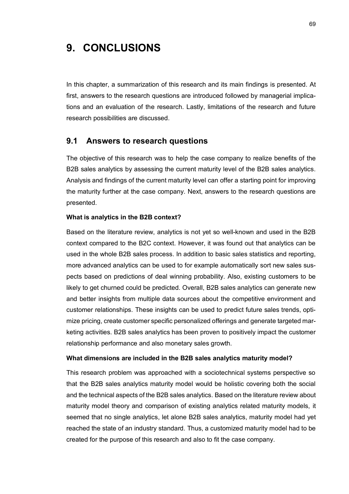## **9. CONCLUSIONS**

In this chapter, a summarization of this research and its main findings is presented. At first, answers to the research questions are introduced followed by managerial implications and an evaluation of the research. Lastly, limitations of the research and future research possibilities are discussed.

#### **9.1 Answers to research questions**

The objective of this research was to help the case company to realize benefits of the B2B sales analytics by assessing the current maturity level of the B2B sales analytics. Analysis and findings of the current maturity level can offer a starting point for improving the maturity further at the case company. Next, answers to the research questions are presented.

#### **What is analytics in the B2B context?**

Based on the literature review, analytics is not yet so well-known and used in the B2B context compared to the B2C context. However, it was found out that analytics can be used in the whole B2B sales process. In addition to basic sales statistics and reporting, more advanced analytics can be used to for example automatically sort new sales suspects based on predictions of deal winning probability. Also, existing customers to be likely to get churned could be predicted. Overall, B2B sales analytics can generate new and better insights from multiple data sources about the competitive environment and customer relationships. These insights can be used to predict future sales trends, optimize pricing, create customer specific personalized offerings and generate targeted marketing activities. B2B sales analytics has been proven to positively impact the customer relationship performance and also monetary sales growth.

#### **What dimensions are included in the B2B sales analytics maturity model?**

This research problem was approached with a sociotechnical systems perspective so that the B2B sales analytics maturity model would be holistic covering both the social and the technical aspects of the B2B sales analytics. Based on the literature review about maturity model theory and comparison of existing analytics related maturity models, it seemed that no single analytics, let alone B2B sales analytics, maturity model had yet reached the state of an industry standard. Thus, a customized maturity model had to be created for the purpose of this research and also to fit the case company.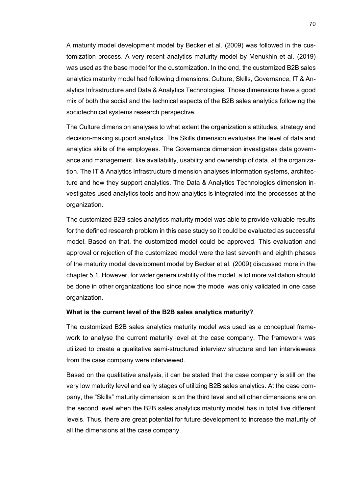A maturity model development model by Becker et al. (2009) was followed in the customization process. A very recent analytics maturity model by Menukhin et al. (2019) was used as the base model for the customization. In the end, the customized B2B sales analytics maturity model had following dimensions: Culture, Skills, Governance, IT & Analytics Infrastructure and Data & Analytics Technologies. Those dimensions have a good mix of both the social and the technical aspects of the B2B sales analytics following the sociotechnical systems research perspective.

The Culture dimension analyses to what extent the organization's attitudes, strategy and decision-making support analytics. The Skills dimension evaluates the level of data and analytics skills of the employees. The Governance dimension investigates data governance and management, like availability, usability and ownership of data, at the organization. The IT & Analytics Infrastructure dimension analyses information systems, architecture and how they support analytics. The Data & Analytics Technologies dimension investigates used analytics tools and how analytics is integrated into the processes at the organization.

The customized B2B sales analytics maturity model was able to provide valuable results for the defined research problem in this case study so it could be evaluated as successful model. Based on that, the customized model could be approved. This evaluation and approval or rejection of the customized model were the last seventh and eighth phases of the maturity model development model by Becker et al. (2009) discussed more in the chapter 5.1. However, for wider generalizability of the model, a lot more validation should be done in other organizations too since now the model was only validated in one case organization.

#### **What is the current level of the B2B sales analytics maturity?**

The customized B2B sales analytics maturity model was used as a conceptual framework to analyse the current maturity level at the case company. The framework was utilized to create a qualitative semi-structured interview structure and ten interviewees from the case company were interviewed.

Based on the qualitative analysis, it can be stated that the case company is still on the very low maturity level and early stages of utilizing B2B sales analytics. At the case company, the "Skills" maturity dimension is on the third level and all other dimensions are on the second level when the B2B sales analytics maturity model has in total five different levels. Thus, there are great potential for future development to increase the maturity of all the dimensions at the case company.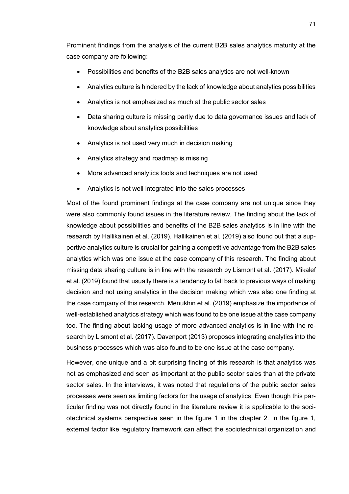Prominent findings from the analysis of the current B2B sales analytics maturity at the case company are following:

- Possibilities and benefits of the B2B sales analytics are not well-known
- Analytics culture is hindered by the lack of knowledge about analytics possibilities
- Analytics is not emphasized as much at the public sector sales
- Data sharing culture is missing partly due to data governance issues and lack of knowledge about analytics possibilities
- Analytics is not used very much in decision making
- Analytics strategy and roadmap is missing
- More advanced analytics tools and techniques are not used
- Analytics is not well integrated into the sales processes

Most of the found prominent findings at the case company are not unique since they were also commonly found issues in the literature review. The finding about the lack of knowledge about possibilities and benefits of the B2B sales analytics is in line with the research by Hallikainen et al. (2019). Hallikainen et al. (2019) also found out that a supportive analytics culture is crucial for gaining a competitive advantage from the B2B sales analytics which was one issue at the case company of this research. The finding about missing data sharing culture is in line with the research by Lismont et al. (2017). Mikalef et al. (2019) found that usually there is a tendency to fall back to previous ways of making decision and not using analytics in the decision making which was also one finding at the case company of this research. Menukhin et al. (2019) emphasize the importance of well-established analytics strategy which was found to be one issue at the case company too. The finding about lacking usage of more advanced analytics is in line with the research by Lismont et al. (2017). Davenport (2013) proposes integrating analytics into the business processes which was also found to be one issue at the case company.

However, one unique and a bit surprising finding of this research is that analytics was not as emphasized and seen as important at the public sector sales than at the private sector sales. In the interviews, it was noted that regulations of the public sector sales processes were seen as limiting factors for the usage of analytics. Even though this particular finding was not directly found in the literature review it is applicable to the sociotechnical systems perspective seen in the figure 1 in the chapter 2. In the figure 1, external factor like regulatory framework can affect the sociotechnical organization and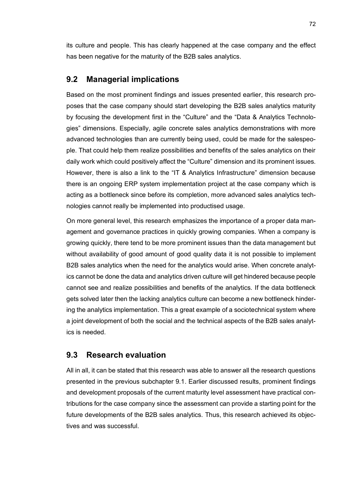its culture and people. This has clearly happened at the case company and the effect has been negative for the maturity of the B2B sales analytics.

### **9.2 Managerial implications**

Based on the most prominent findings and issues presented earlier, this research proposes that the case company should start developing the B2B sales analytics maturity by focusing the development first in the "Culture" and the "Data & Analytics Technologies" dimensions. Especially, agile concrete sales analytics demonstrations with more advanced technologies than are currently being used, could be made for the salespeople. That could help them realize possibilities and benefits of the sales analytics on their daily work which could positively affect the "Culture" dimension and its prominent issues. However, there is also a link to the "IT & Analytics Infrastructure" dimension because there is an ongoing ERP system implementation project at the case company which is acting as a bottleneck since before its completion, more advanced sales analytics technologies cannot really be implemented into productised usage.

On more general level, this research emphasizes the importance of a proper data management and governance practices in quickly growing companies. When a company is growing quickly, there tend to be more prominent issues than the data management but without availability of good amount of good quality data it is not possible to implement B2B sales analytics when the need for the analytics would arise. When concrete analytics cannot be done the data and analytics driven culture will get hindered because people cannot see and realize possibilities and benefits of the analytics. If the data bottleneck gets solved later then the lacking analytics culture can become a new bottleneck hindering the analytics implementation. This a great example of a sociotechnical system where a joint development of both the social and the technical aspects of the B2B sales analytics is needed.

#### **9.3 Research evaluation**

All in all, it can be stated that this research was able to answer all the research questions presented in the previous subchapter 9.1. Earlier discussed results, prominent findings and development proposals of the current maturity level assessment have practical contributions for the case company since the assessment can provide a starting point for the future developments of the B2B sales analytics. Thus, this research achieved its objectives and was successful.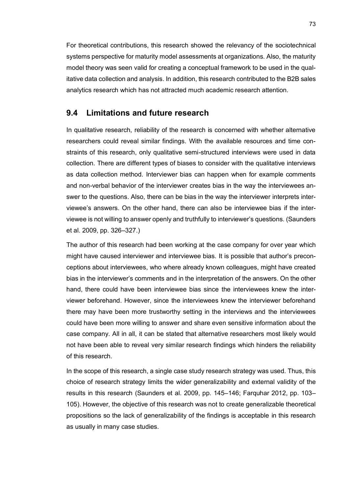For theoretical contributions, this research showed the relevancy of the sociotechnical systems perspective for maturity model assessments at organizations. Also, the maturity model theory was seen valid for creating a conceptual framework to be used in the qualitative data collection and analysis. In addition, this research contributed to the B2B sales analytics research which has not attracted much academic research attention.

### **9.4 Limitations and future research**

In qualitative research, reliability of the research is concerned with whether alternative researchers could reveal similar findings. With the available resources and time constraints of this research, only qualitative semi-structured interviews were used in data collection. There are different types of biases to consider with the qualitative interviews as data collection method. Interviewer bias can happen when for example comments and non-verbal behavior of the interviewer creates bias in the way the interviewees answer to the questions. Also, there can be bias in the way the interviewer interprets interviewee's answers. On the other hand, there can also be interviewee bias if the interviewee is not willing to answer openly and truthfully to interviewer's questions. (Saunders et al. 2009, pp. 326–327.)

The author of this research had been working at the case company for over year which might have caused interviewer and interviewee bias. It is possible that author's preconceptions about interviewees, who where already known colleagues, might have created bias in the interviewer's comments and in the interpretation of the answers. On the other hand, there could have been interviewee bias since the interviewees knew the interviewer beforehand. However, since the interviewees knew the interviewer beforehand there may have been more trustworthy setting in the interviews and the interviewees could have been more willing to answer and share even sensitive information about the case company. All in all, it can be stated that alternative researchers most likely would not have been able to reveal very similar research findings which hinders the reliability of this research.

In the scope of this research, a single case study research strategy was used. Thus, this choice of research strategy limits the wider generalizability and external validity of the results in this research (Saunders et al. 2009, pp. 145–146; Farquhar 2012, pp. 103– 105). However, the objective of this research was not to create generalizable theoretical propositions so the lack of generalizability of the findings is acceptable in this research as usually in many case studies.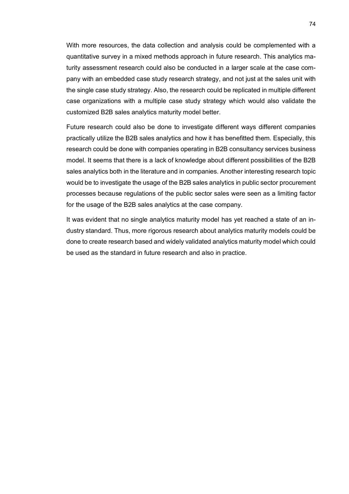With more resources, the data collection and analysis could be complemented with a quantitative survey in a mixed methods approach in future research. This analytics maturity assessment research could also be conducted in a larger scale at the case company with an embedded case study research strategy, and not just at the sales unit with the single case study strategy. Also, the research could be replicated in multiple different case organizations with a multiple case study strategy which would also validate the customized B2B sales analytics maturity model better.

Future research could also be done to investigate different ways different companies practically utilize the B2B sales analytics and how it has benefitted them. Especially, this research could be done with companies operating in B2B consultancy services business model. It seems that there is a lack of knowledge about different possibilities of the B2B sales analytics both in the literature and in companies. Another interesting research topic would be to investigate the usage of the B2B sales analytics in public sector procurement processes because regulations of the public sector sales were seen as a limiting factor for the usage of the B2B sales analytics at the case company.

It was evident that no single analytics maturity model has yet reached a state of an industry standard. Thus, more rigorous research about analytics maturity models could be done to create research based and widely validated analytics maturity model which could be used as the standard in future research and also in practice.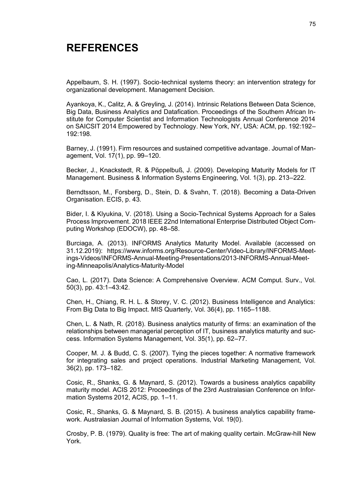## **REFERENCES**

Appelbaum, S. H. (1997). Socio‐technical systems theory: an intervention strategy for organizational development. Management Decision.

Ayankoya, K., Calitz, A. & Greyling, J. (2014). Intrinsic Relations Between Data Science, Big Data, Business Analytics and Datafication. Proceedings of the Southern African Institute for Computer Scientist and Information Technologists Annual Conference 2014 on SAICSIT 2014 Empowered by Technology. New York, NY, USA: ACM, pp. 192:192– 192:198.

Barney, J. (1991). Firm resources and sustained competitive advantage. Journal of Management, Vol. 17(1), pp. 99–120.

Becker, J., Knackstedt, R. & Pöppelbuß, J. (2009). Developing Maturity Models for IT Management. Business & Information Systems Engineering, Vol. 1(3), pp. 213–222.

Berndtsson, M., Forsberg, D., Stein, D. & Svahn, T. (2018). Becoming a Data-Driven Organisation. ECIS, p. 43.

Bider, I. & Klyukina, V. (2018). Using a Socio-Technical Systems Approach for a Sales Process Improvement. 2018 IEEE 22nd International Enterprise Distributed Object Computing Workshop (EDOCW), pp. 48–58.

Burciaga, A. (2013). INFORMS Analytics Maturity Model. Available (accessed on 31.12.2019): https://www.informs.org/Resource-Center/Video-Library/INFORMS-Meetings-Videos/INFORMS-Annual-Meeting-Presentations/2013-INFORMS-Annual-Meeting-Minneapolis/Analytics-Maturity-Model

Cao, L. (2017). Data Science: A Comprehensive Overview. ACM Comput. Surv., Vol. 50(3), pp. 43:1–43:42.

Chen, H., Chiang, R. H. L. & Storey, V. C. (2012). Business Intelligence and Analytics: From Big Data to Big Impact. MIS Quarterly, Vol. 36(4), pp. 1165–1188.

Chen, L. & Nath, R. (2018). Business analytics maturity of firms: an examination of the relationships between managerial perception of IT, business analytics maturity and success. Information Systems Management, Vol. 35(1), pp. 62–77.

Cooper, M. J. & Budd, C. S. (2007). Tying the pieces together: A normative framework for integrating sales and project operations. Industrial Marketing Management, Vol. 36(2), pp. 173–182.

Cosic, R., Shanks, G. & Maynard, S. (2012). Towards a business analytics capability maturity model. ACIS 2012: Proceedings of the 23rd Australasian Conference on Information Systems 2012, ACIS, pp. 1–11.

Cosic, R., Shanks, G. & Maynard, S. B. (2015). A business analytics capability framework. Australasian Journal of Information Systems, Vol. 19(0).

Crosby, P. B. (1979). Quality is free: The art of making quality certain. McGraw-hill New York.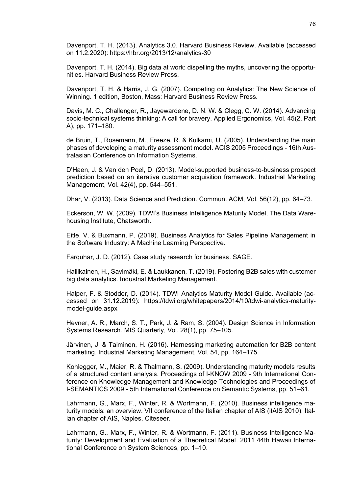Davenport, T. H. (2013). Analytics 3.0. Harvard Business Review, Available (accessed on 11.2.2020): https://hbr.org/2013/12/analytics-30

Davenport, T. H. (2014). Big data at work: dispelling the myths, uncovering the opportunities. Harvard Business Review Press.

Davenport, T. H. & Harris, J. G. (2007). Competing on Analytics: The New Science of Winning. 1 edition, Boston, Mass: Harvard Business Review Press.

Davis, M. C., Challenger, R., Jayewardene, D. N. W. & Clegg, C. W. (2014). Advancing socio-technical systems thinking: A call for bravery. Applied Ergonomics, Vol. 45(2, Part A), pp. 171–180.

de Bruin, T., Rosemann, M., Freeze, R. & Kulkarni, U. (2005). Understanding the main phases of developing a maturity assessment model. ACIS 2005 Proceedings - 16th Australasian Conference on Information Systems.

D'Haen, J. & Van den Poel, D. (2013). Model-supported business-to-business prospect prediction based on an iterative customer acquisition framework. Industrial Marketing Management, Vol. 42(4), pp. 544–551.

Dhar, V. (2013). Data Science and Prediction. Commun. ACM, Vol. 56(12), pp. 64–73.

Eckerson, W. W. (2009). TDWI's Business Intelligence Maturity Model. The Data Warehousing Institute, Chatsworth.

Eitle, V. & Buxmann, P. (2019). Business Analytics for Sales Pipeline Management in the Software Industry: A Machine Learning Perspective.

Farquhar, J. D. (2012). Case study research for business. SAGE.

Hallikainen, H., Savimäki, E. & Laukkanen, T. (2019). Fostering B2B sales with customer big data analytics. Industrial Marketing Management.

Halper, F. & Stodder, D. (2014). TDWI Analytics Maturity Model Guide. Available (accessed on 31.12.2019): https://tdwi.org/whitepapers/2014/10/tdwi-analytics-maturitymodel-guide.aspx

Hevner, A. R., March, S. T., Park, J. & Ram, S. (2004). Design Science in Information Systems Research. MIS Quarterly, Vol. 28(1), pp. 75–105.

Järvinen, J. & Taiminen, H. (2016). Harnessing marketing automation for B2B content marketing. Industrial Marketing Management, Vol. 54, pp. 164–175.

Kohlegger, M., Maier, R. & Thalmann, S. (2009). Understanding maturity models results of a structured content analysis. Proceedings of I-KNOW 2009 - 9th International Conference on Knowledge Management and Knowledge Technologies and Proceedings of I-SEMANTICS 2009 - 5th International Conference on Semantic Systems, pp. 51–61.

Lahrmann, G., Marx, F., Winter, R. & Wortmann, F. (2010). Business intelligence maturity models: an overview. VII conference of the Italian chapter of AIS (itAIS 2010). Italian chapter of AIS, Naples, Citeseer.

Lahrmann, G., Marx, F., Winter, R. & Wortmann, F. (2011). Business Intelligence Maturity: Development and Evaluation of a Theoretical Model. 2011 44th Hawaii International Conference on System Sciences, pp. 1–10.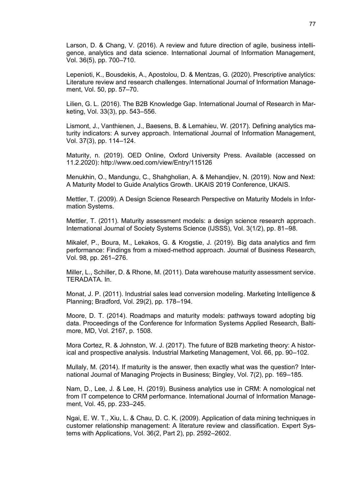Larson, D. & Chang, V. (2016). A review and future direction of agile, business intelligence, analytics and data science. International Journal of Information Management, Vol. 36(5), pp. 700–710.

Lepenioti, K., Bousdekis, A., Apostolou, D. & Mentzas, G. (2020). Prescriptive analytics: Literature review and research challenges. International Journal of Information Management, Vol. 50, pp. 57–70.

Lilien, G. L. (2016). The B2B Knowledge Gap. International Journal of Research in Marketing, Vol. 33(3), pp. 543–556.

Lismont, J., Vanthienen, J., Baesens, B. & Lemahieu, W. (2017). Defining analytics maturity indicators: A survey approach. International Journal of Information Management, Vol. 37(3), pp. 114–124.

Maturity, n. (2019). OED Online, Oxford University Press. Available (accessed on 11.2.2020): http://www.oed.com/view/Entry/115126

Menukhin, O., Mandungu, C., Shahgholian, A. & Mehandjiev, N. (2019). Now and Next: A Maturity Model to Guide Analytics Growth. UKAIS 2019 Conference, UKAIS.

Mettler, T. (2009). A Design Science Research Perspective on Maturity Models in Information Systems.

Mettler, T. (2011). Maturity assessment models: a design science research approach. International Journal of Society Systems Science (IJSSS), Vol. 3(1/2), pp. 81–98.

Mikalef, P., Boura, M., Lekakos, G. & Krogstie, J. (2019). Big data analytics and firm performance: Findings from a mixed-method approach. Journal of Business Research, Vol. 98, pp. 261–276.

Miller, L., Schiller, D. & Rhone, M. (2011). Data warehouse maturity assessment service. TERADATA. In.

Monat, J. P. (2011). Industrial sales lead conversion modeling. Marketing Intelligence & Planning; Bradford, Vol. 29(2), pp. 178–194.

Moore, D. T. (2014). Roadmaps and maturity models: pathways toward adopting big data. Proceedings of the Conference for Information Systems Applied Research, Baltimore, MD, Vol. 2167, p. 1508.

Mora Cortez, R. & Johnston, W. J. (2017). The future of B2B marketing theory: A historical and prospective analysis. Industrial Marketing Management, Vol. 66, pp. 90–102.

Mullaly, M. (2014). If maturity is the answer, then exactly what was the question? International Journal of Managing Projects in Business; Bingley, Vol. 7(2), pp. 169–185.

Nam, D., Lee, J. & Lee, H. (2019). Business analytics use in CRM: A nomological net from IT competence to CRM performance. International Journal of Information Management, Vol. 45, pp. 233–245.

Ngai, E. W. T., Xiu, L. & Chau, D. C. K. (2009). Application of data mining techniques in customer relationship management: A literature review and classification. Expert Systems with Applications, Vol. 36(2, Part 2), pp. 2592–2602.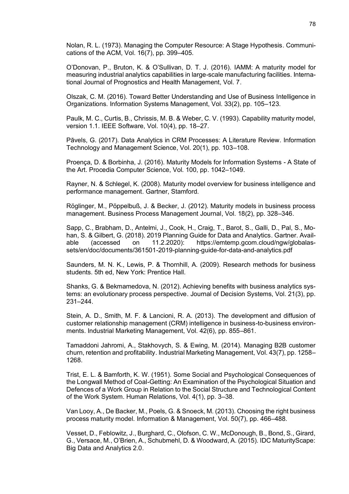Nolan, R. L. (1973). Managing the Computer Resource: A Stage Hypothesis. Communications of the ACM, Vol. 16(7), pp. 399–405.

O'Donovan, P., Bruton, K. & O'Sullivan, D. T. J. (2016). IAMM: A maturity model for measuring industrial analytics capabilities in large-scale manufacturing facilities. International Journal of Prognostics and Health Management, Vol. 7.

Olszak, C. M. (2016). Toward Better Understanding and Use of Business Intelligence in Organizations. Information Systems Management, Vol. 33(2), pp. 105–123.

Paulk, M. C., Curtis, B., Chrissis, M. B. & Weber, C. V. (1993). Capability maturity model, version 1.1. IEEE Software, Vol. 10(4), pp. 18–27.

Pāvels, G. (2017). Data Analytics in CRM Processes: A Literature Review. Information Technology and Management Science, Vol. 20(1), pp. 103–108.

Proença, D. & Borbinha, J. (2016). Maturity Models for Information Systems - A State of the Art. Procedia Computer Science, Vol. 100, pp. 1042–1049.

Rayner, N. & Schlegel, K. (2008). Maturity model overview for business intelligence and performance management. Gartner, Stamford.

Röglinger, M., Pöppelbuß, J. & Becker, J. (2012). Maturity models in business process management. Business Process Management Journal, Vol. 18(2), pp. 328–346.

Sapp, C., Brabham, D., Antelmi, J., Cook, H., Craig, T., Barot, S., Galli, D., Pal, S., Mohan, S. & Gilbert, G. (2018). 2019 Planning Guide for Data and Analytics. Gartner. Available (accessed on 11.2.2020): https://emtemp.gcom.cloud/ngw/globalassets/en/doc/documents/361501-2019-planning-guide-for-data-and-analytics.pdf

Saunders, M. N. K., Lewis, P. & Thornhill, A. (2009). Research methods for business students. 5th ed, New York: Prentice Hall.

Shanks, G. & Bekmamedova, N. (2012). Achieving benefits with business analytics systems: an evolutionary process perspective. Journal of Decision Systems, Vol. 21(3), pp. 231–244.

Stein, A. D., Smith, M. F. & Lancioni, R. A. (2013). The development and diffusion of customer relationship management (CRM) intelligence in business-to-business environments. Industrial Marketing Management, Vol. 42(6), pp. 855–861.

Tamaddoni Jahromi, A., Stakhovych, S. & Ewing, M. (2014). Managing B2B customer churn, retention and profitability. Industrial Marketing Management, Vol. 43(7), pp. 1258– 1268.

Trist, E. L. & Bamforth, K. W. (1951). Some Social and Psychological Consequences of the Longwall Method of Coal-Getting: An Examination of the Psychological Situation and Defences of a Work Group in Relation to the Social Structure and Technological Content of the Work System. Human Relations, Vol. 4(1), pp. 3–38.

Van Looy, A., De Backer, M., Poels, G. & Snoeck, M. (2013). Choosing the right business process maturity model. Information & Management, Vol. 50(7), pp. 466–488.

Vesset, D., Feblowitz, J., Burghard, C., Olofson, C. W., McDonough, B., Bond, S., Girard, G., Versace, M., O'Brien, A., Schubmehl, D. & Woodward, A. (2015). IDC MaturityScape: Big Data and Analytics 2.0.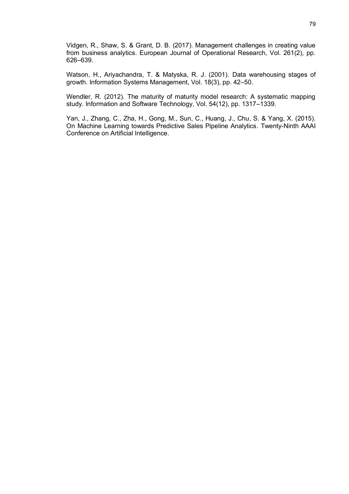Vidgen, R., Shaw, S. & Grant, D. B. (2017). Management challenges in creating value from business analytics. European Journal of Operational Research, Vol. 261(2), pp. 626–639.

Watson, H., Ariyachandra, T. & Matyska, R. J. (2001). Data warehousing stages of growth. Information Systems Management, Vol. 18(3), pp. 42–50.

Wendler, R. (2012). The maturity of maturity model research: A systematic mapping study. Information and Software Technology, Vol. 54(12), pp. 1317–1339.

Yan, J., Zhang, C., Zha, H., Gong, M., Sun, C., Huang, J., Chu, S. & Yang, X. (2015). On Machine Learning towards Predictive Sales Pipeline Analytics. Twenty-Ninth AAAI Conference on Artificial Intelligence.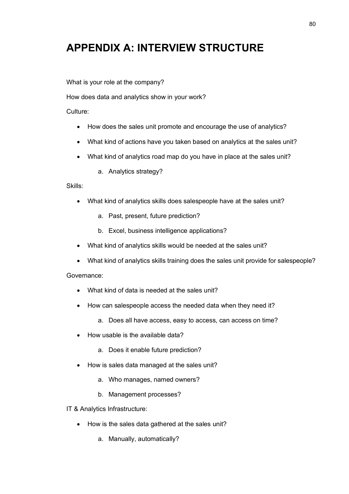# **APPENDIX A: INTERVIEW STRUCTURE**

What is your role at the company?

How does data and analytics show in your work?

Culture:

- How does the sales unit promote and encourage the use of analytics?
- What kind of actions have you taken based on analytics at the sales unit?
- What kind of analytics road map do you have in place at the sales unit?
	- a. Analytics strategy?

Skills:

- What kind of analytics skills does salespeople have at the sales unit?
	- a. Past, present, future prediction?
	- b. Excel, business intelligence applications?
- What kind of analytics skills would be needed at the sales unit?
- What kind of analytics skills training does the sales unit provide for salespeople?

Governance:

- What kind of data is needed at the sales unit?
- How can salespeople access the needed data when they need it?
	- a. Does all have access, easy to access, can access on time?
- How usable is the available data?
	- a. Does it enable future prediction?
- How is sales data managed at the sales unit?
	- a. Who manages, named owners?
	- b. Management processes?

IT & Analytics Infrastructure:

- How is the sales data gathered at the sales unit?
	- a. Manually, automatically?